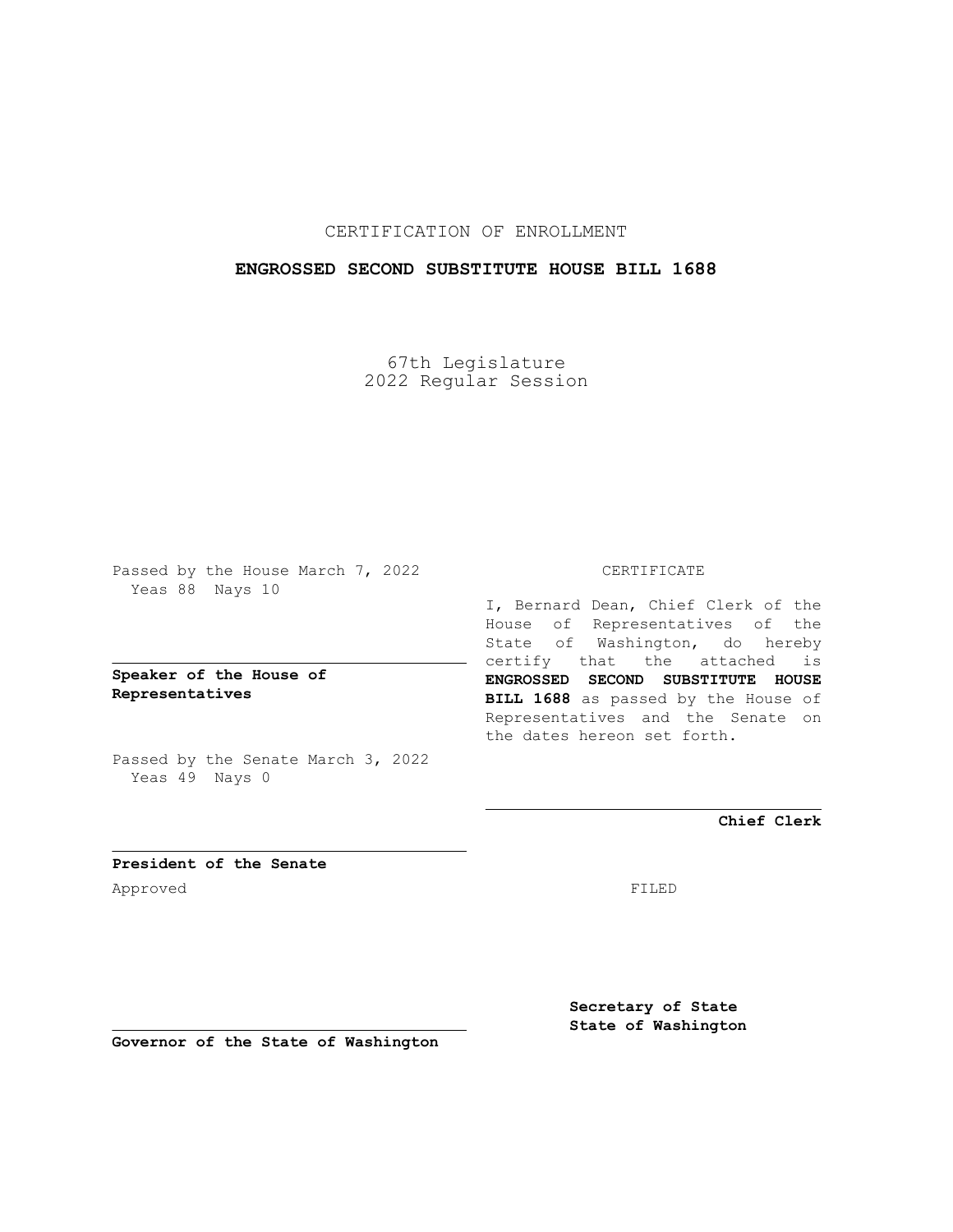# CERTIFICATION OF ENROLLMENT

## **ENGROSSED SECOND SUBSTITUTE HOUSE BILL 1688**

67th Legislature 2022 Regular Session

Passed by the House March 7, 2022 Yeas 88 Nays 10

**Speaker of the House of Representatives**

Passed by the Senate March 3, 2022 Yeas 49 Nays 0

### CERTIFICATE

I, Bernard Dean, Chief Clerk of the House of Representatives of the State of Washington, do hereby certify that the attached is **ENGROSSED SECOND SUBSTITUTE HOUSE BILL 1688** as passed by the House of Representatives and the Senate on the dates hereon set forth.

**Chief Clerk**

**President of the Senate** Approved FILED

**Secretary of State State of Washington**

**Governor of the State of Washington**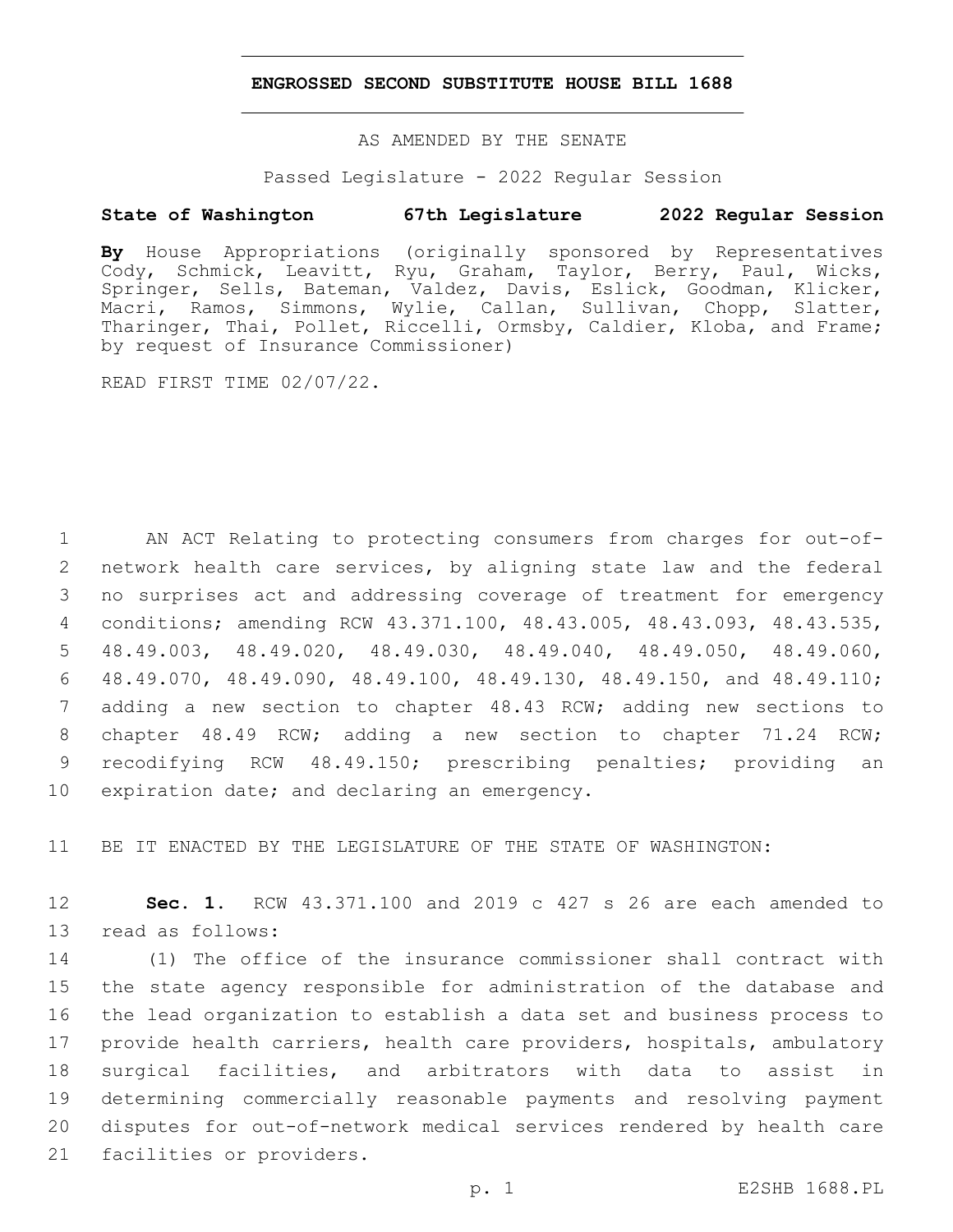#### **ENGROSSED SECOND SUBSTITUTE HOUSE BILL 1688**

AS AMENDED BY THE SENATE

Passed Legislature - 2022 Regular Session

### **State of Washington 67th Legislature 2022 Regular Session**

**By** House Appropriations (originally sponsored by Representatives Cody, Schmick, Leavitt, Ryu, Graham, Taylor, Berry, Paul, Wicks, Springer, Sells, Bateman, Valdez, Davis, Eslick, Goodman, Klicker, Macri, Ramos, Simmons, Wylie, Callan, Sullivan, Chopp, Slatter, Tharinger, Thai, Pollet, Riccelli, Ormsby, Caldier, Kloba, and Frame; by request of Insurance Commissioner)

READ FIRST TIME 02/07/22.

 AN ACT Relating to protecting consumers from charges for out-of- network health care services, by aligning state law and the federal no surprises act and addressing coverage of treatment for emergency conditions; amending RCW 43.371.100, 48.43.005, 48.43.093, 48.43.535, 48.49.003, 48.49.020, 48.49.030, 48.49.040, 48.49.050, 48.49.060, 48.49.070, 48.49.090, 48.49.100, 48.49.130, 48.49.150, and 48.49.110; adding a new section to chapter 48.43 RCW; adding new sections to chapter 48.49 RCW; adding a new section to chapter 71.24 RCW; recodifying RCW 48.49.150; prescribing penalties; providing an 10 expiration date; and declaring an emergency.

11 BE IT ENACTED BY THE LEGISLATURE OF THE STATE OF WASHINGTON:

12 **Sec. 1.** RCW 43.371.100 and 2019 c 427 s 26 are each amended to 13 read as follows:

 (1) The office of the insurance commissioner shall contract with the state agency responsible for administration of the database and the lead organization to establish a data set and business process to provide health carriers, health care providers, hospitals, ambulatory surgical facilities, and arbitrators with data to assist in determining commercially reasonable payments and resolving payment disputes for out-of-network medical services rendered by health care 21 facilities or providers.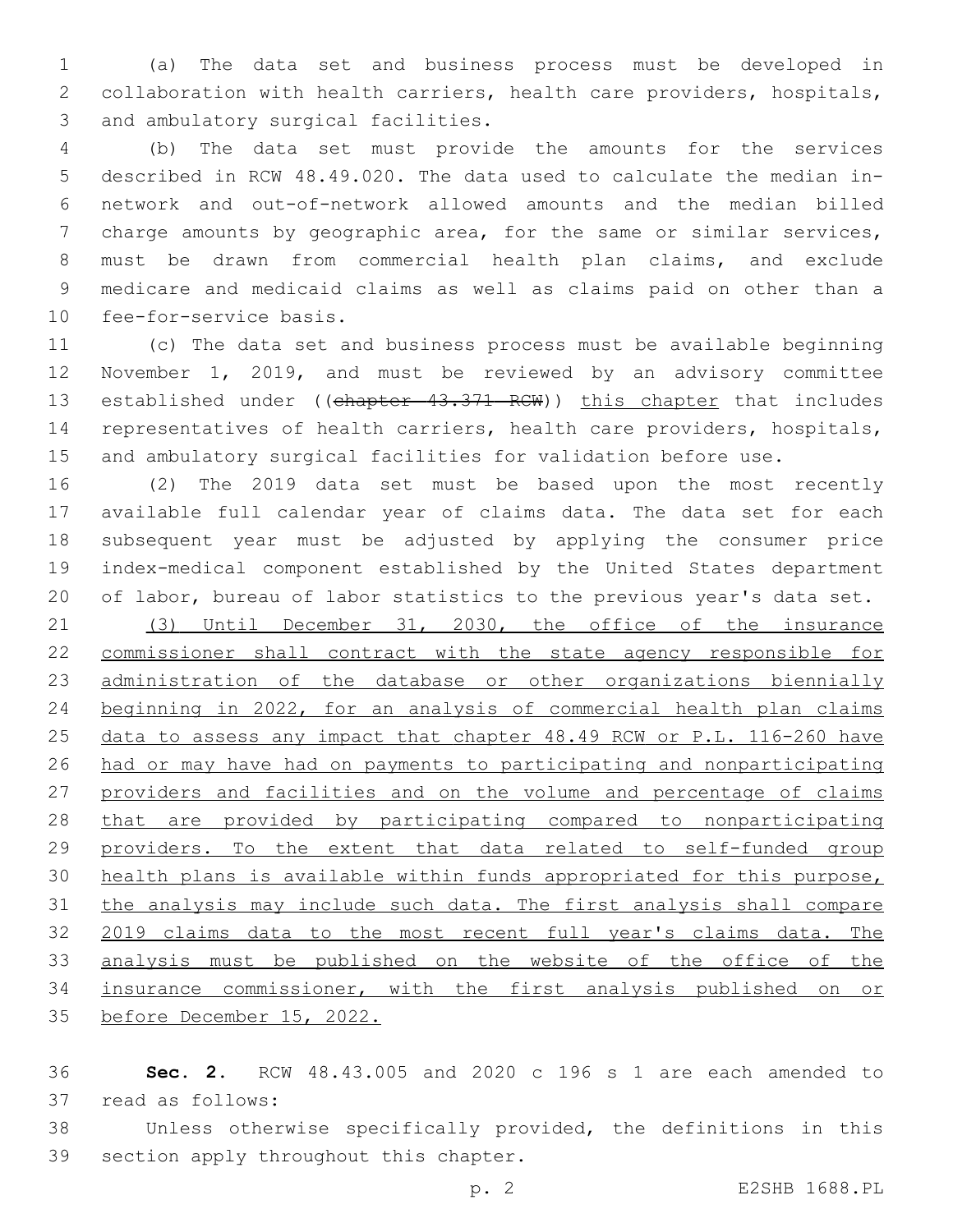(a) The data set and business process must be developed in collaboration with health carriers, health care providers, hospitals, 3 and ambulatory surgical facilities.

 (b) The data set must provide the amounts for the services described in RCW 48.49.020. The data used to calculate the median in- network and out-of-network allowed amounts and the median billed charge amounts by geographic area, for the same or similar services, must be drawn from commercial health plan claims, and exclude medicare and medicaid claims as well as claims paid on other than a 10 fee-for-service basis.

 (c) The data set and business process must be available beginning November 1, 2019, and must be reviewed by an advisory committee 13 established under ((chapter 43.371 RCW)) this chapter that includes representatives of health carriers, health care providers, hospitals, and ambulatory surgical facilities for validation before use.

 (2) The 2019 data set must be based upon the most recently available full calendar year of claims data. The data set for each subsequent year must be adjusted by applying the consumer price index-medical component established by the United States department of labor, bureau of labor statistics to the previous year's data set.

 (3) Until December 31, 2030, the office of the insurance commissioner shall contract with the state agency responsible for administration of the database or other organizations biennially beginning in 2022, for an analysis of commercial health plan claims data to assess any impact that chapter 48.49 RCW or P.L. 116-260 have had or may have had on payments to participating and nonparticipating providers and facilities and on the volume and percentage of claims that are provided by participating compared to nonparticipating providers. To the extent that data related to self-funded group health plans is available within funds appropriated for this purpose, the analysis may include such data. The first analysis shall compare 2019 claims data to the most recent full year's claims data. The analysis must be published on the website of the office of the insurance commissioner, with the first analysis published on or before December 15, 2022.

 **Sec. 2.** RCW 48.43.005 and 2020 c 196 s 1 are each amended to 37 read as follows:

 Unless otherwise specifically provided, the definitions in this 39 section apply throughout this chapter.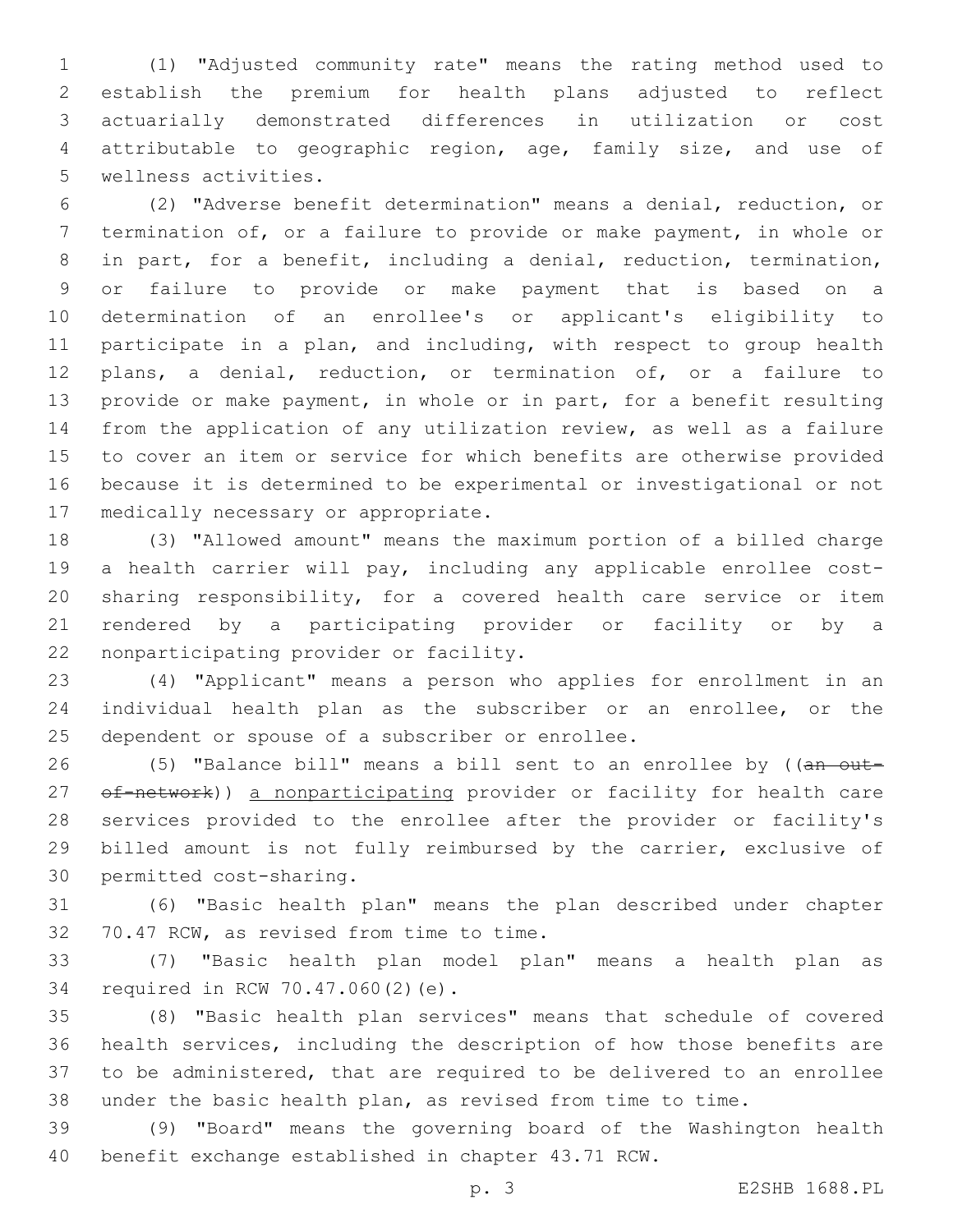(1) "Adjusted community rate" means the rating method used to establish the premium for health plans adjusted to reflect actuarially demonstrated differences in utilization or cost attributable to geographic region, age, family size, and use of 5 wellness activities.

 (2) "Adverse benefit determination" means a denial, reduction, or termination of, or a failure to provide or make payment, in whole or in part, for a benefit, including a denial, reduction, termination, or failure to provide or make payment that is based on a determination of an enrollee's or applicant's eligibility to participate in a plan, and including, with respect to group health plans, a denial, reduction, or termination of, or a failure to provide or make payment, in whole or in part, for a benefit resulting from the application of any utilization review, as well as a failure to cover an item or service for which benefits are otherwise provided because it is determined to be experimental or investigational or not 17 medically necessary or appropriate.

 (3) "Allowed amount" means the maximum portion of a billed charge a health carrier will pay, including any applicable enrollee cost- sharing responsibility, for a covered health care service or item rendered by a participating provider or facility or by a 22 nonparticipating provider or facility.

 (4) "Applicant" means a person who applies for enrollment in an individual health plan as the subscriber or an enrollee, or the 25 dependent or spouse of a subscriber or enrollee.

26 (5) "Balance bill" means a bill sent to an enrollee by ((an out-27 of-network)) a nonparticipating provider or facility for health care services provided to the enrollee after the provider or facility's billed amount is not fully reimbursed by the carrier, exclusive of 30 permitted cost-sharing.

 (6) "Basic health plan" means the plan described under chapter 32 70.47 RCW, as revised from time to time.

 (7) "Basic health plan model plan" means a health plan as 34 required in RCW 70.47.060(2)(e).

 (8) "Basic health plan services" means that schedule of covered health services, including the description of how those benefits are to be administered, that are required to be delivered to an enrollee under the basic health plan, as revised from time to time.

 (9) "Board" means the governing board of the Washington health benefit exchange established in chapter 43.71 RCW.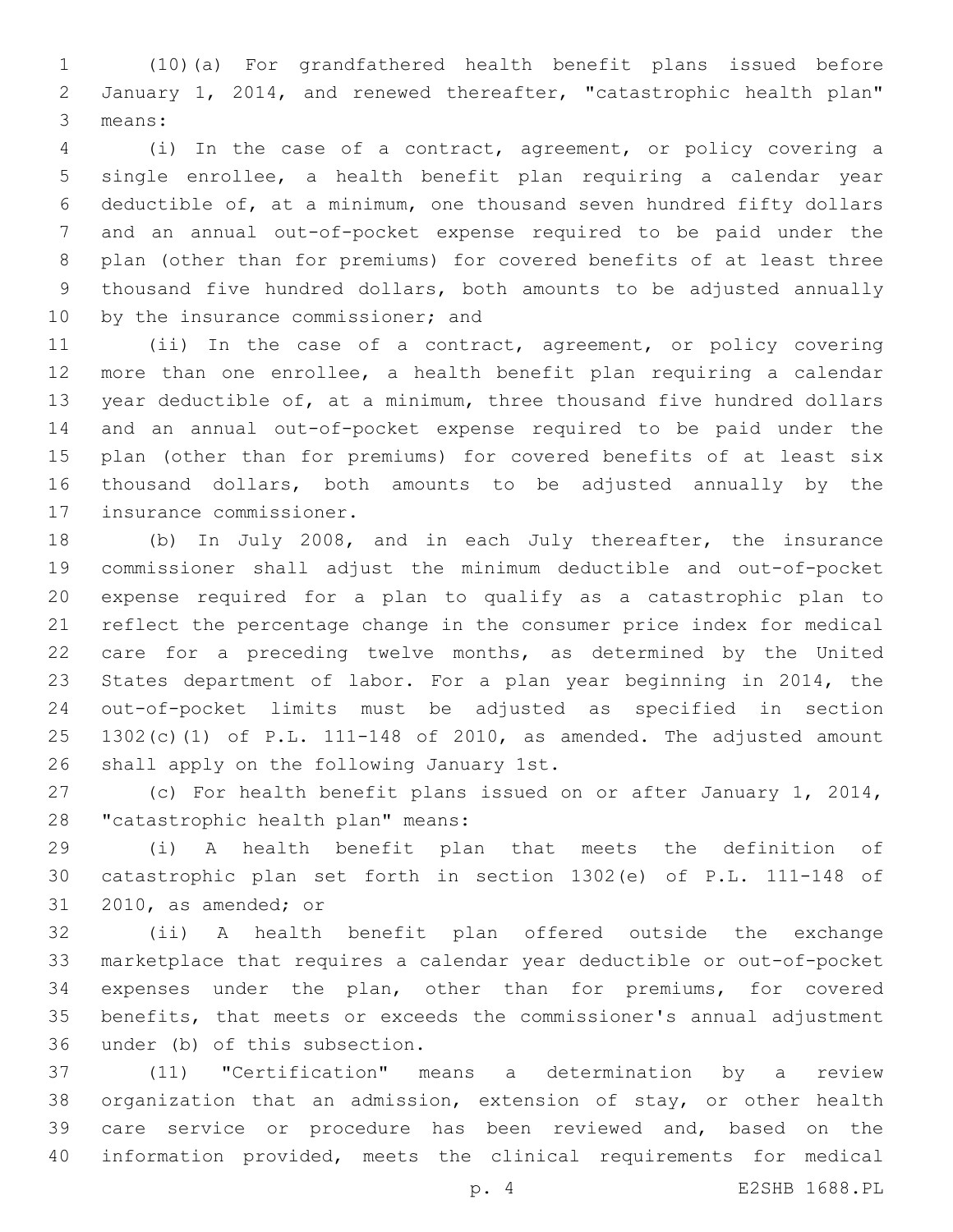(10)(a) For grandfathered health benefit plans issued before January 1, 2014, and renewed thereafter, "catastrophic health plan" 3 means:

 (i) In the case of a contract, agreement, or policy covering a single enrollee, a health benefit plan requiring a calendar year deductible of, at a minimum, one thousand seven hundred fifty dollars and an annual out-of-pocket expense required to be paid under the plan (other than for premiums) for covered benefits of at least three thousand five hundred dollars, both amounts to be adjusted annually 10 by the insurance commissioner; and

 (ii) In the case of a contract, agreement, or policy covering more than one enrollee, a health benefit plan requiring a calendar year deductible of, at a minimum, three thousand five hundred dollars and an annual out-of-pocket expense required to be paid under the plan (other than for premiums) for covered benefits of at least six thousand dollars, both amounts to be adjusted annually by the 17 insurance commissioner.

 (b) In July 2008, and in each July thereafter, the insurance commissioner shall adjust the minimum deductible and out-of-pocket expense required for a plan to qualify as a catastrophic plan to reflect the percentage change in the consumer price index for medical care for a preceding twelve months, as determined by the United States department of labor. For a plan year beginning in 2014, the out-of-pocket limits must be adjusted as specified in section 1302(c)(1) of P.L. 111-148 of 2010, as amended. The adjusted amount 26 shall apply on the following January 1st.

 (c) For health benefit plans issued on or after January 1, 2014, 28 "catastrophic health plan" means:

 (i) A health benefit plan that meets the definition of catastrophic plan set forth in section 1302(e) of P.L. 111-148 of 31 2010, as amended; or

 (ii) A health benefit plan offered outside the exchange marketplace that requires a calendar year deductible or out-of-pocket expenses under the plan, other than for premiums, for covered benefits, that meets or exceeds the commissioner's annual adjustment 36 under (b) of this subsection.

 (11) "Certification" means a determination by a review organization that an admission, extension of stay, or other health care service or procedure has been reviewed and, based on the information provided, meets the clinical requirements for medical

p. 4 E2SHB 1688.PL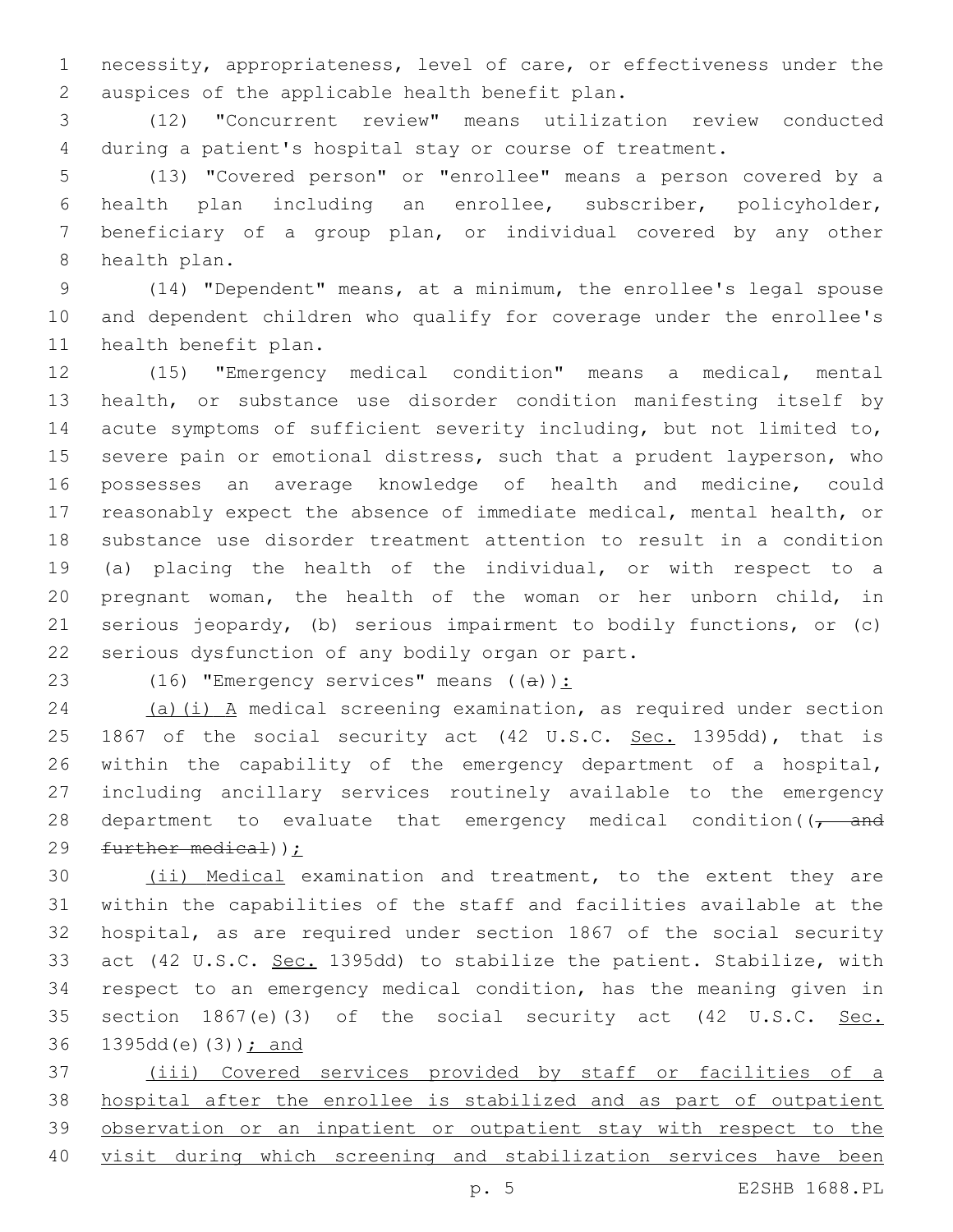necessity, appropriateness, level of care, or effectiveness under the 2 auspices of the applicable health benefit plan.

 (12) "Concurrent review" means utilization review conducted during a patient's hospital stay or course of treatment.

 (13) "Covered person" or "enrollee" means a person covered by a health plan including an enrollee, subscriber, policyholder, beneficiary of a group plan, or individual covered by any other 8 health plan.

 (14) "Dependent" means, at a minimum, the enrollee's legal spouse and dependent children who qualify for coverage under the enrollee's 11 health benefit plan.

 (15) "Emergency medical condition" means a medical, mental health, or substance use disorder condition manifesting itself by acute symptoms of sufficient severity including, but not limited to, severe pain or emotional distress, such that a prudent layperson, who possesses an average knowledge of health and medicine, could reasonably expect the absence of immediate medical, mental health, or substance use disorder treatment attention to result in a condition (a) placing the health of the individual, or with respect to a pregnant woman, the health of the woman or her unborn child, in serious jeopardy, (b) serious impairment to bodily functions, or (c) 22 serious dysfunction of any bodily organ or part.

23 (16) "Emergency services" means  $((a))$ :

 (a)(i) A medical screening examination, as required under section 25 1867 of the social security act (42 U.S.C. Sec. 1395dd), that is within the capability of the emergency department of a hospital, including ancillary services routinely available to the emergency 28 department to evaluate that emergency medical condition( $\sqrt{1 - \text{and}}$ further medical));

 (ii) Medical examination and treatment, to the extent they are within the capabilities of the staff and facilities available at the hospital, as are required under section 1867 of the social security act (42 U.S.C. Sec. 1395dd) to stabilize the patient. Stabilize, with respect to an emergency medical condition, has the meaning given in 35 section 1867(e)(3) of the social security act (42 U.S.C. Sec. 36 1395dd(e)(3)); and

 (iii) Covered services provided by staff or facilities of a hospital after the enrollee is stabilized and as part of outpatient observation or an inpatient or outpatient stay with respect to the visit during which screening and stabilization services have been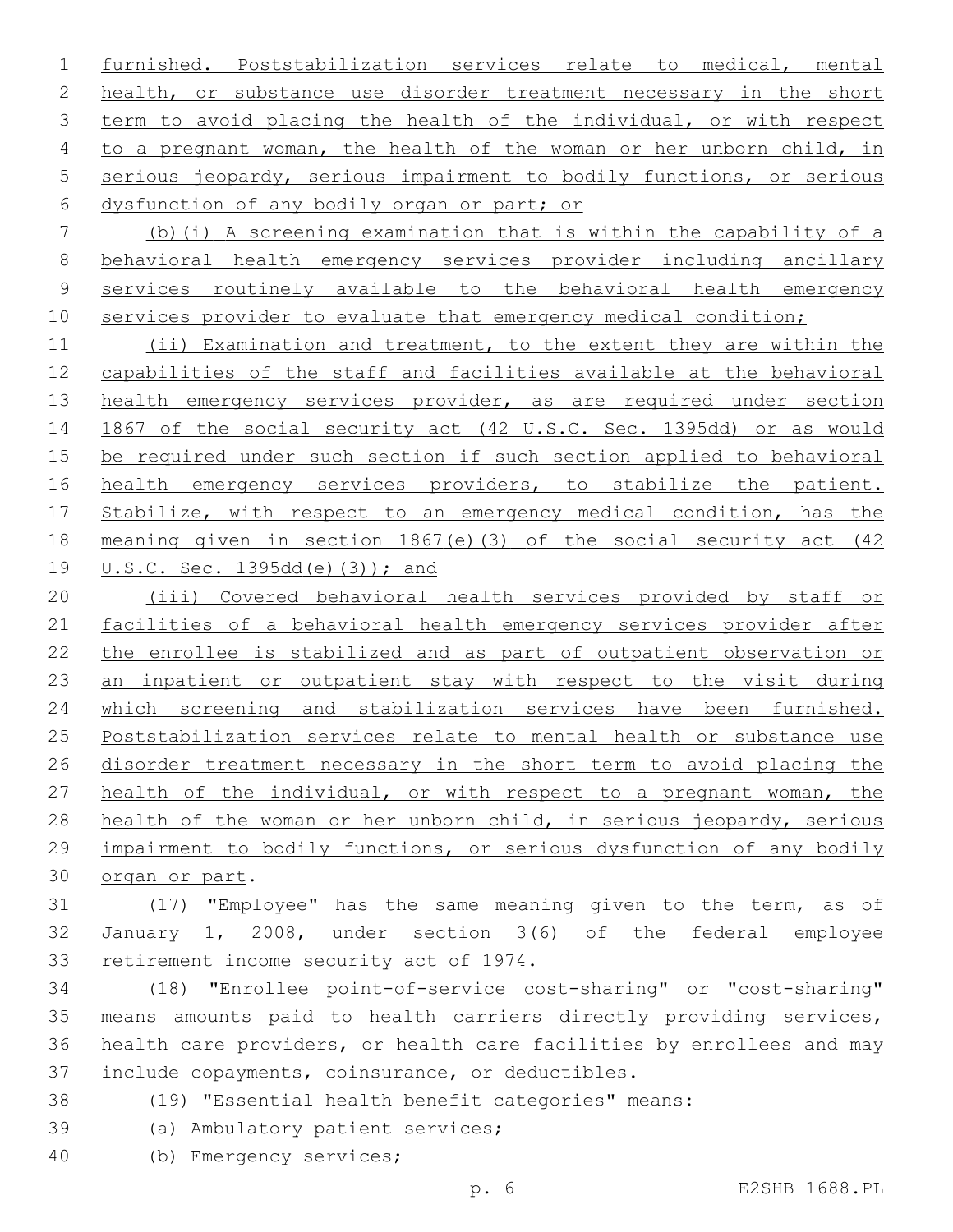furnished. Poststabilization services relate to medical, mental 2 health, or substance use disorder treatment necessary in the short term to avoid placing the health of the individual, or with respect to a pregnant woman, the health of the woman or her unborn child, in serious jeopardy, serious impairment to bodily functions, or serious 6 dysfunction of any bodily organ or part; or

 (b)(i) A screening examination that is within the capability of a behavioral health emergency services provider including ancillary services routinely available to the behavioral health emergency 10 services provider to evaluate that emergency medical condition;

 (ii) Examination and treatment, to the extent they are within the capabilities of the staff and facilities available at the behavioral 13 health emergency services provider, as are required under section 1867 of the social security act (42 U.S.C. Sec. 1395dd) or as would be required under such section if such section applied to behavioral 16 health emergency services providers, to stabilize the patient. 17 Stabilize, with respect to an emergency medical condition, has the meaning given in section 1867(e)(3) of the social security act (42 U.S.C. Sec. 1395dd(e)(3)); and

 (iii) Covered behavioral health services provided by staff or facilities of a behavioral health emergency services provider after the enrollee is stabilized and as part of outpatient observation or an inpatient or outpatient stay with respect to the visit during which screening and stabilization services have been furnished. Poststabilization services relate to mental health or substance use disorder treatment necessary in the short term to avoid placing the health of the individual, or with respect to a pregnant woman, the health of the woman or her unborn child, in serious jeopardy, serious impairment to bodily functions, or serious dysfunction of any bodily 30 organ or part.

 (17) "Employee" has the same meaning given to the term, as of January 1, 2008, under section 3(6) of the federal employee 33 retirement income security act of 1974.

 (18) "Enrollee point-of-service cost-sharing" or "cost-sharing" means amounts paid to health carriers directly providing services, health care providers, or health care facilities by enrollees and may 37 include copayments, coinsurance, or deductibles.

- (19) "Essential health benefit categories" means:
- 39 (a) Ambulatory patient services;
- (b) Emergency services;40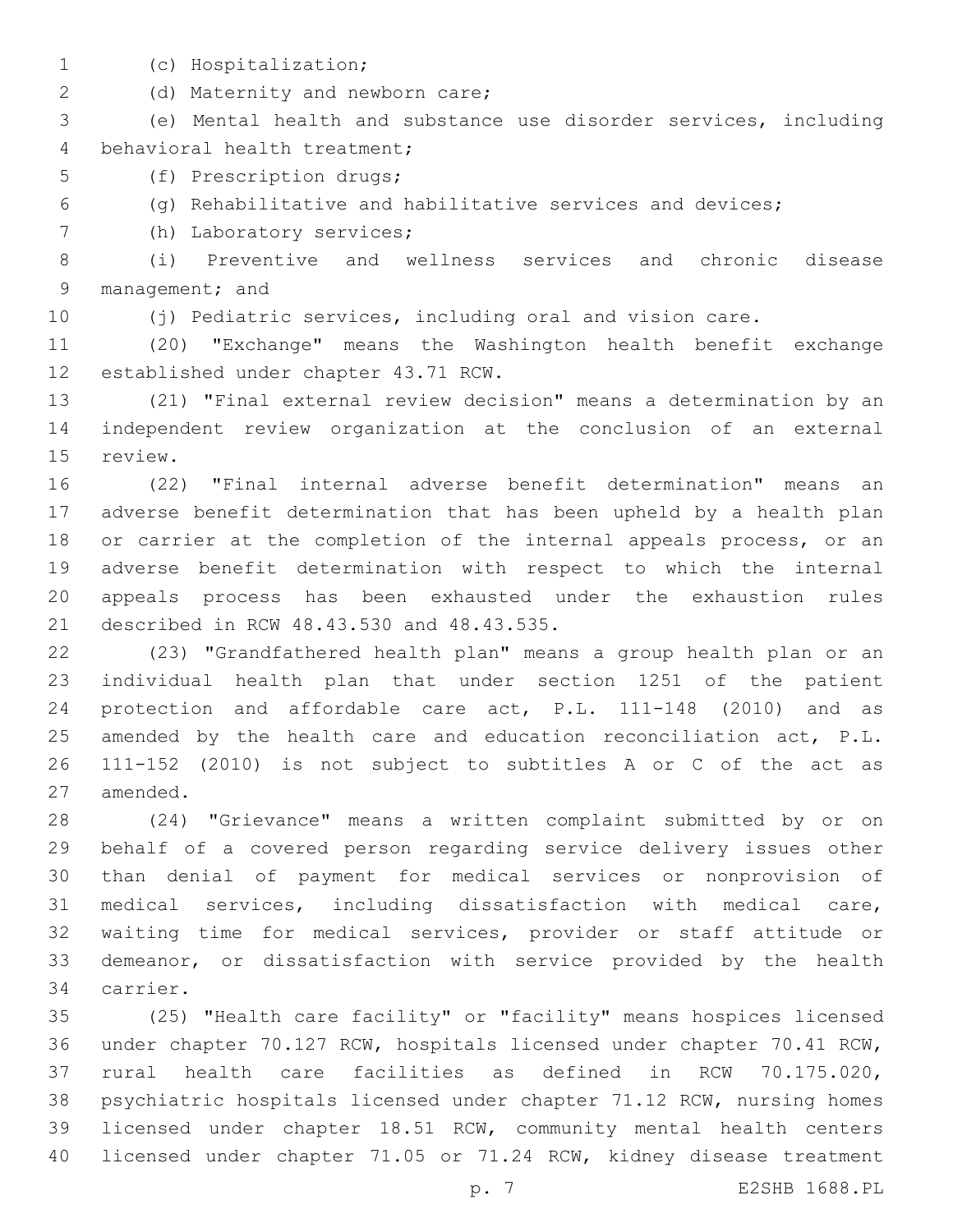- 
- (c) Hospitalization;1

2 (d) Maternity and newborn care;

 (e) Mental health and substance use disorder services, including 4 behavioral health treatment;

5 (f) Prescription drugs;

(g) Rehabilitative and habilitative services and devices;

7 (h) Laboratory services;

 (i) Preventive and wellness services and chronic disease 9 management; and

(j) Pediatric services, including oral and vision care.

 (20) "Exchange" means the Washington health benefit exchange 12 established under chapter 43.71 RCW.

 (21) "Final external review decision" means a determination by an independent review organization at the conclusion of an external 15 review.

 (22) "Final internal adverse benefit determination" means an adverse benefit determination that has been upheld by a health plan or carrier at the completion of the internal appeals process, or an adverse benefit determination with respect to which the internal appeals process has been exhausted under the exhaustion rules 21 described in RCW 48.43.530 and 48.43.535.

 (23) "Grandfathered health plan" means a group health plan or an individual health plan that under section 1251 of the patient protection and affordable care act, P.L. 111-148 (2010) and as 25 amended by the health care and education reconciliation act, P.L. 111-152 (2010) is not subject to subtitles A or C of the act as 27 amended.

 (24) "Grievance" means a written complaint submitted by or on behalf of a covered person regarding service delivery issues other than denial of payment for medical services or nonprovision of medical services, including dissatisfaction with medical care, waiting time for medical services, provider or staff attitude or demeanor, or dissatisfaction with service provided by the health 34 carrier.

 (25) "Health care facility" or "facility" means hospices licensed under chapter 70.127 RCW, hospitals licensed under chapter 70.41 RCW, rural health care facilities as defined in RCW 70.175.020, psychiatric hospitals licensed under chapter 71.12 RCW, nursing homes licensed under chapter 18.51 RCW, community mental health centers licensed under chapter 71.05 or 71.24 RCW, kidney disease treatment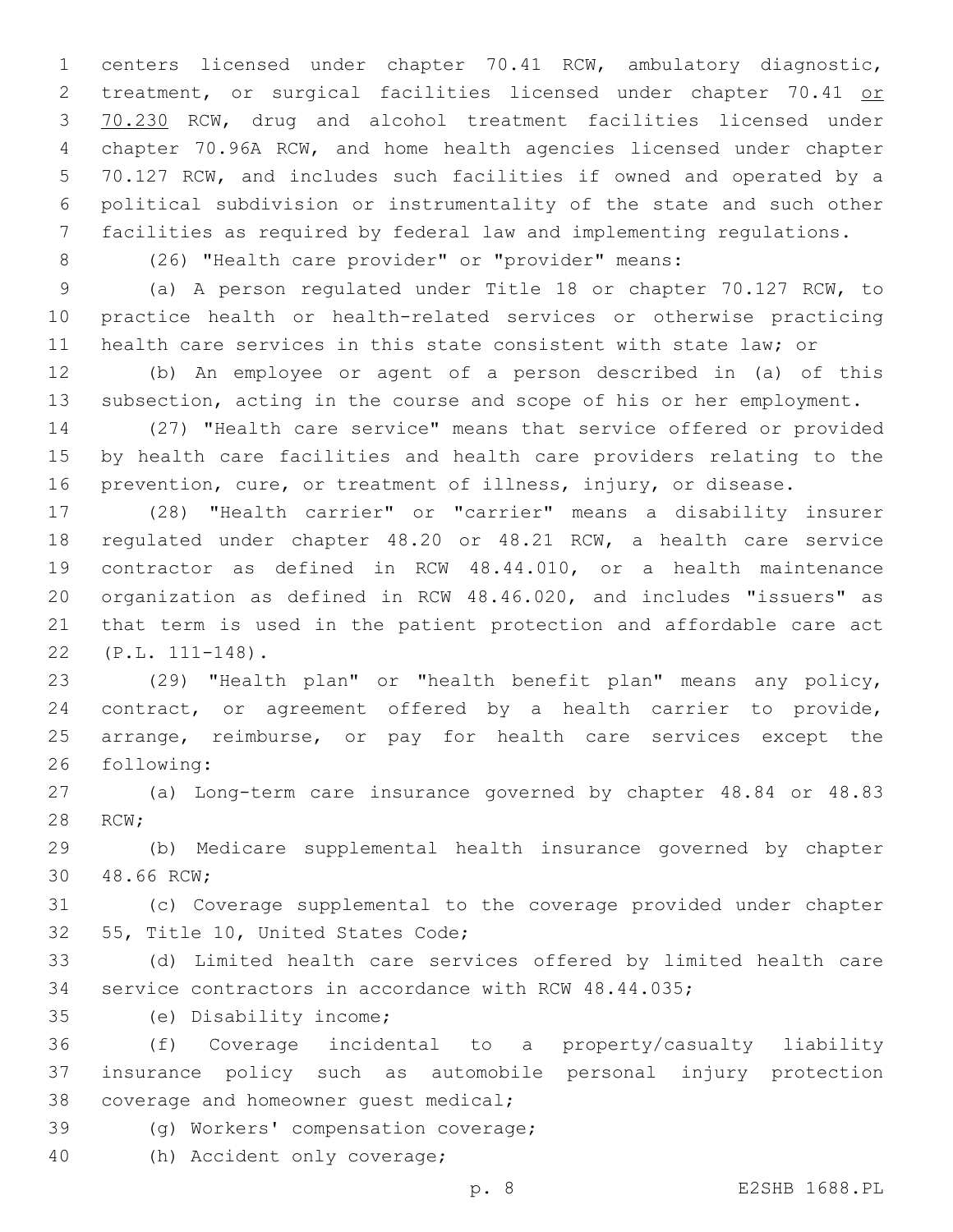centers licensed under chapter 70.41 RCW, ambulatory diagnostic, 2 treatment, or surgical facilities licensed under chapter 70.41 or 70.230 RCW, drug and alcohol treatment facilities licensed under chapter 70.96A RCW, and home health agencies licensed under chapter 70.127 RCW, and includes such facilities if owned and operated by a political subdivision or instrumentality of the state and such other facilities as required by federal law and implementing regulations.

(26) "Health care provider" or "provider" means:

 (a) A person regulated under Title 18 or chapter 70.127 RCW, to practice health or health-related services or otherwise practicing health care services in this state consistent with state law; or

 (b) An employee or agent of a person described in (a) of this subsection, acting in the course and scope of his or her employment.

 (27) "Health care service" means that service offered or provided by health care facilities and health care providers relating to the prevention, cure, or treatment of illness, injury, or disease.

 (28) "Health carrier" or "carrier" means a disability insurer regulated under chapter 48.20 or 48.21 RCW, a health care service contractor as defined in RCW 48.44.010, or a health maintenance organization as defined in RCW 48.46.020, and includes "issuers" as that term is used in the patient protection and affordable care act (P.L. 111-148).22

 (29) "Health plan" or "health benefit plan" means any policy, contract, or agreement offered by a health carrier to provide, arrange, reimburse, or pay for health care services except the 26 following:

 (a) Long-term care insurance governed by chapter 48.84 or 48.83 28 RCW;

 (b) Medicare supplemental health insurance governed by chapter 30 48.66 RCW;

 (c) Coverage supplemental to the coverage provided under chapter 32 55, Title 10, United States Code;

 (d) Limited health care services offered by limited health care service contractors in accordance with RCW 48.44.035;

(e) Disability income;35

 (f) Coverage incidental to a property/casualty liability insurance policy such as automobile personal injury protection 38 coverage and homeowner quest medical;

39 (g) Workers' compensation coverage;

40 (h) Accident only coverage;

p. 8 E2SHB 1688.PL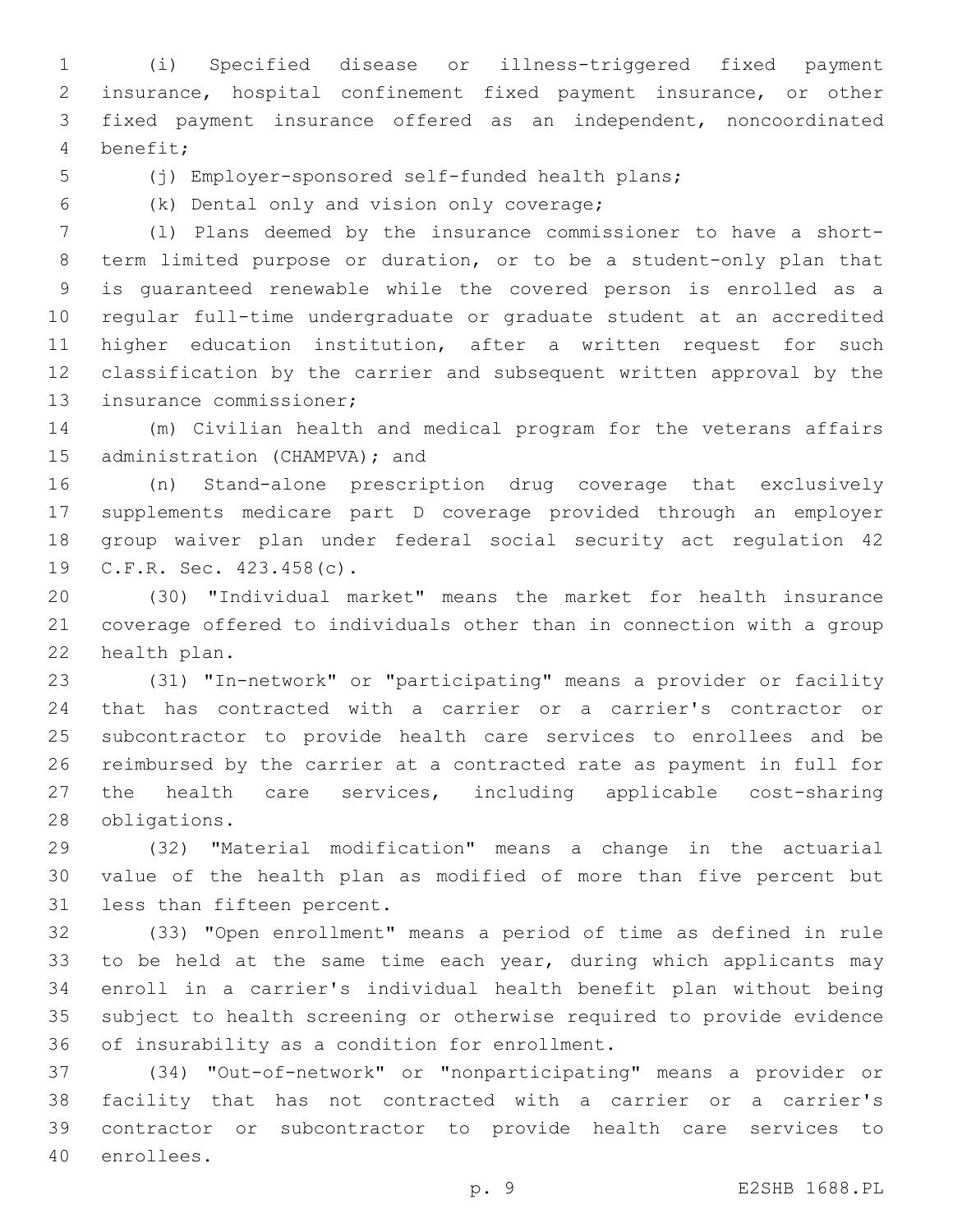(i) Specified disease or illness-triggered fixed payment insurance, hospital confinement fixed payment insurance, or other fixed payment insurance offered as an independent, noncoordinated benefit;4

(j) Employer-sponsored self-funded health plans;

(k) Dental only and vision only coverage;6

 (l) Plans deemed by the insurance commissioner to have a short- term limited purpose or duration, or to be a student-only plan that is guaranteed renewable while the covered person is enrolled as a regular full-time undergraduate or graduate student at an accredited higher education institution, after a written request for such classification by the carrier and subsequent written approval by the 13 insurance commissioner;

 (m) Civilian health and medical program for the veterans affairs 15 administration (CHAMPVA); and

 (n) Stand-alone prescription drug coverage that exclusively supplements medicare part D coverage provided through an employer group waiver plan under federal social security act regulation 42 19 C.F.R. Sec. 423.458(c).

 (30) "Individual market" means the market for health insurance coverage offered to individuals other than in connection with a group 22 health plan.

 (31) "In-network" or "participating" means a provider or facility that has contracted with a carrier or a carrier's contractor or subcontractor to provide health care services to enrollees and be reimbursed by the carrier at a contracted rate as payment in full for the health care services, including applicable cost-sharing 28 obligations.

 (32) "Material modification" means a change in the actuarial value of the health plan as modified of more than five percent but 31 less than fifteen percent.

 (33) "Open enrollment" means a period of time as defined in rule 33 to be held at the same time each year, during which applicants may enroll in a carrier's individual health benefit plan without being subject to health screening or otherwise required to provide evidence 36 of insurability as a condition for enrollment.

 (34) "Out-of-network" or "nonparticipating" means a provider or facility that has not contracted with a carrier or a carrier's contractor or subcontractor to provide health care services to 40 enrollees.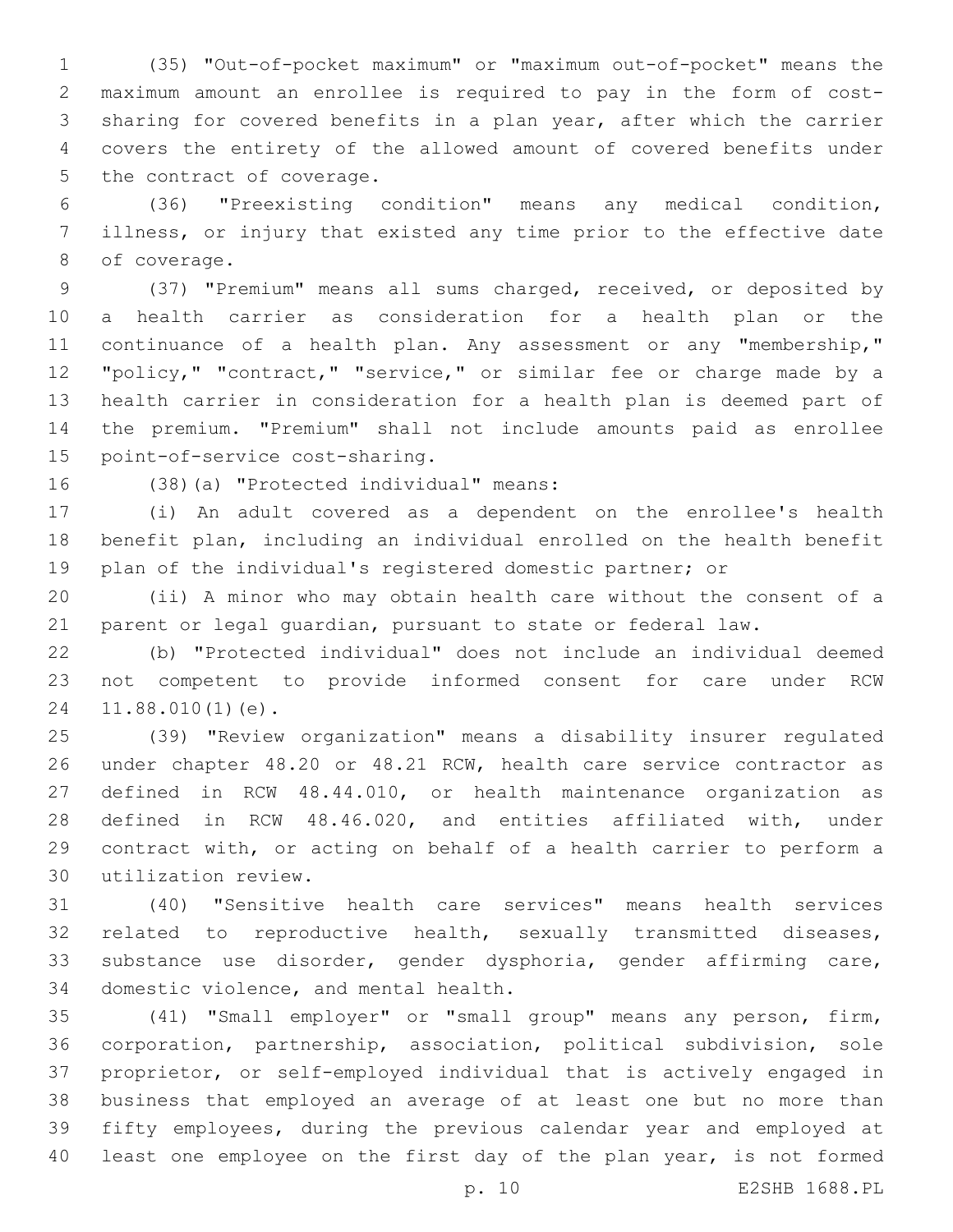(35) "Out-of-pocket maximum" or "maximum out-of-pocket" means the maximum amount an enrollee is required to pay in the form of cost- sharing for covered benefits in a plan year, after which the carrier covers the entirety of the allowed amount of covered benefits under 5 the contract of coverage.

 (36) "Preexisting condition" means any medical condition, illness, or injury that existed any time prior to the effective date 8 of coverage.

 (37) "Premium" means all sums charged, received, or deposited by a health carrier as consideration for a health plan or the 11 continuance of a health plan. Any assessment or any "membership," "policy," "contract," "service," or similar fee or charge made by a health carrier in consideration for a health plan is deemed part of the premium. "Premium" shall not include amounts paid as enrollee 15 point-of-service cost-sharing.

16 (38)(a) "Protected individual" means:

 (i) An adult covered as a dependent on the enrollee's health benefit plan, including an individual enrolled on the health benefit plan of the individual's registered domestic partner; or

 (ii) A minor who may obtain health care without the consent of a parent or legal guardian, pursuant to state or federal law.

 (b) "Protected individual" does not include an individual deemed not competent to provide informed consent for care under RCW 24 11.88.010(1)(e).

 (39) "Review organization" means a disability insurer regulated under chapter 48.20 or 48.21 RCW, health care service contractor as defined in RCW 48.44.010, or health maintenance organization as defined in RCW 48.46.020, and entities affiliated with, under contract with, or acting on behalf of a health carrier to perform a utilization review.30

 (40) "Sensitive health care services" means health services related to reproductive health, sexually transmitted diseases, substance use disorder, gender dysphoria, gender affirming care, 34 domestic violence, and mental health.

 (41) "Small employer" or "small group" means any person, firm, corporation, partnership, association, political subdivision, sole proprietor, or self-employed individual that is actively engaged in business that employed an average of at least one but no more than fifty employees, during the previous calendar year and employed at least one employee on the first day of the plan year, is not formed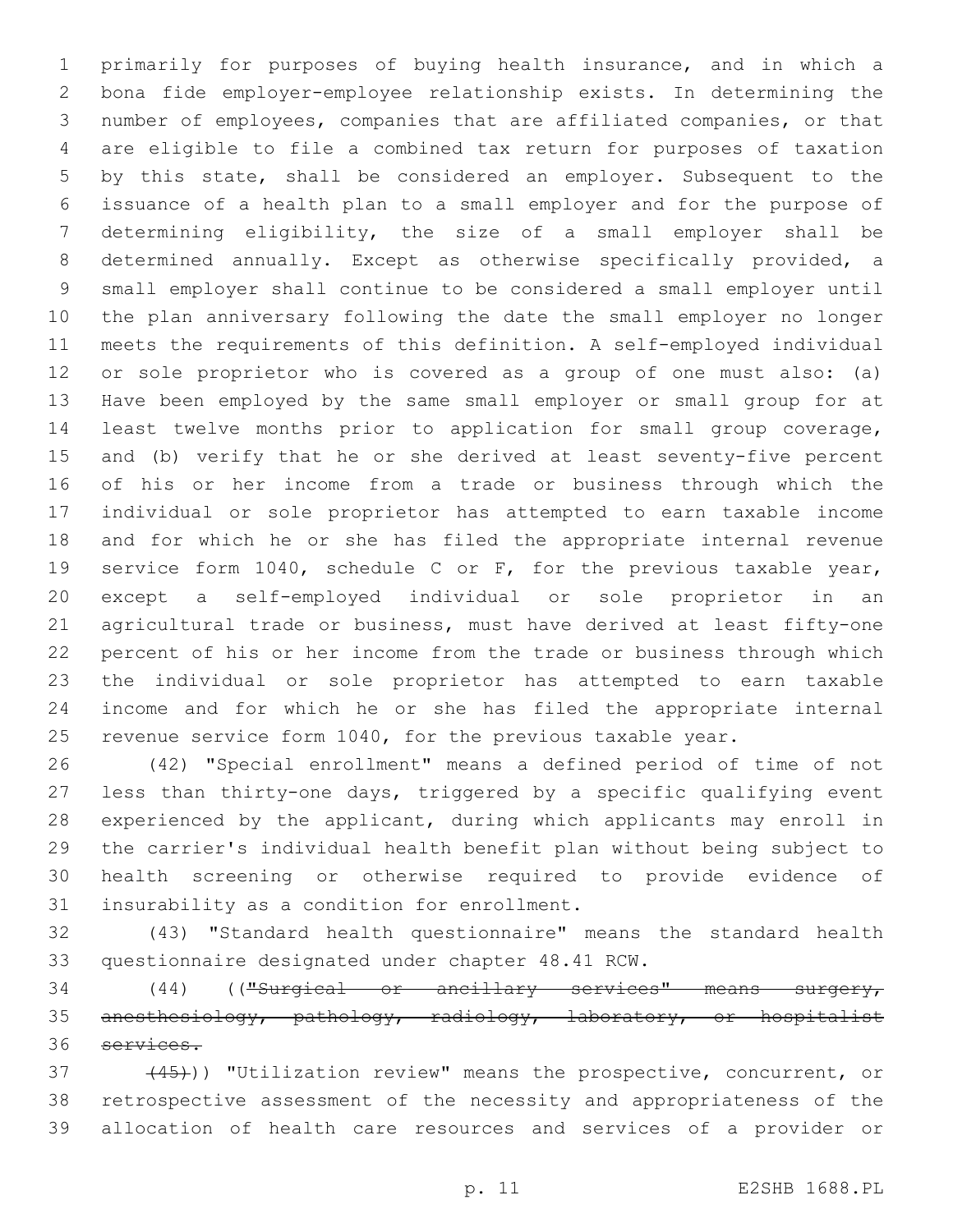primarily for purposes of buying health insurance, and in which a bona fide employer-employee relationship exists. In determining the number of employees, companies that are affiliated companies, or that are eligible to file a combined tax return for purposes of taxation by this state, shall be considered an employer. Subsequent to the issuance of a health plan to a small employer and for the purpose of determining eligibility, the size of a small employer shall be determined annually. Except as otherwise specifically provided, a small employer shall continue to be considered a small employer until the plan anniversary following the date the small employer no longer meets the requirements of this definition. A self-employed individual or sole proprietor who is covered as a group of one must also: (a) Have been employed by the same small employer or small group for at least twelve months prior to application for small group coverage, and (b) verify that he or she derived at least seventy-five percent of his or her income from a trade or business through which the individual or sole proprietor has attempted to earn taxable income and for which he or she has filed the appropriate internal revenue service form 1040, schedule C or F, for the previous taxable year, except a self-employed individual or sole proprietor in an agricultural trade or business, must have derived at least fifty-one percent of his or her income from the trade or business through which the individual or sole proprietor has attempted to earn taxable income and for which he or she has filed the appropriate internal 25 revenue service form 1040, for the previous taxable year.

 (42) "Special enrollment" means a defined period of time of not less than thirty-one days, triggered by a specific qualifying event experienced by the applicant, during which applicants may enroll in the carrier's individual health benefit plan without being subject to health screening or otherwise required to provide evidence of 31 insurability as a condition for enrollment.

 (43) "Standard health questionnaire" means the standard health 33 questionnaire designated under chapter 48.41 RCW.

 (44) (("Surgical or ancillary services" means surgery, anesthesiology, pathology, radiology, laboratory, or hospitalist services.

37 (45)) "Utilization review" means the prospective, concurrent, or retrospective assessment of the necessity and appropriateness of the allocation of health care resources and services of a provider or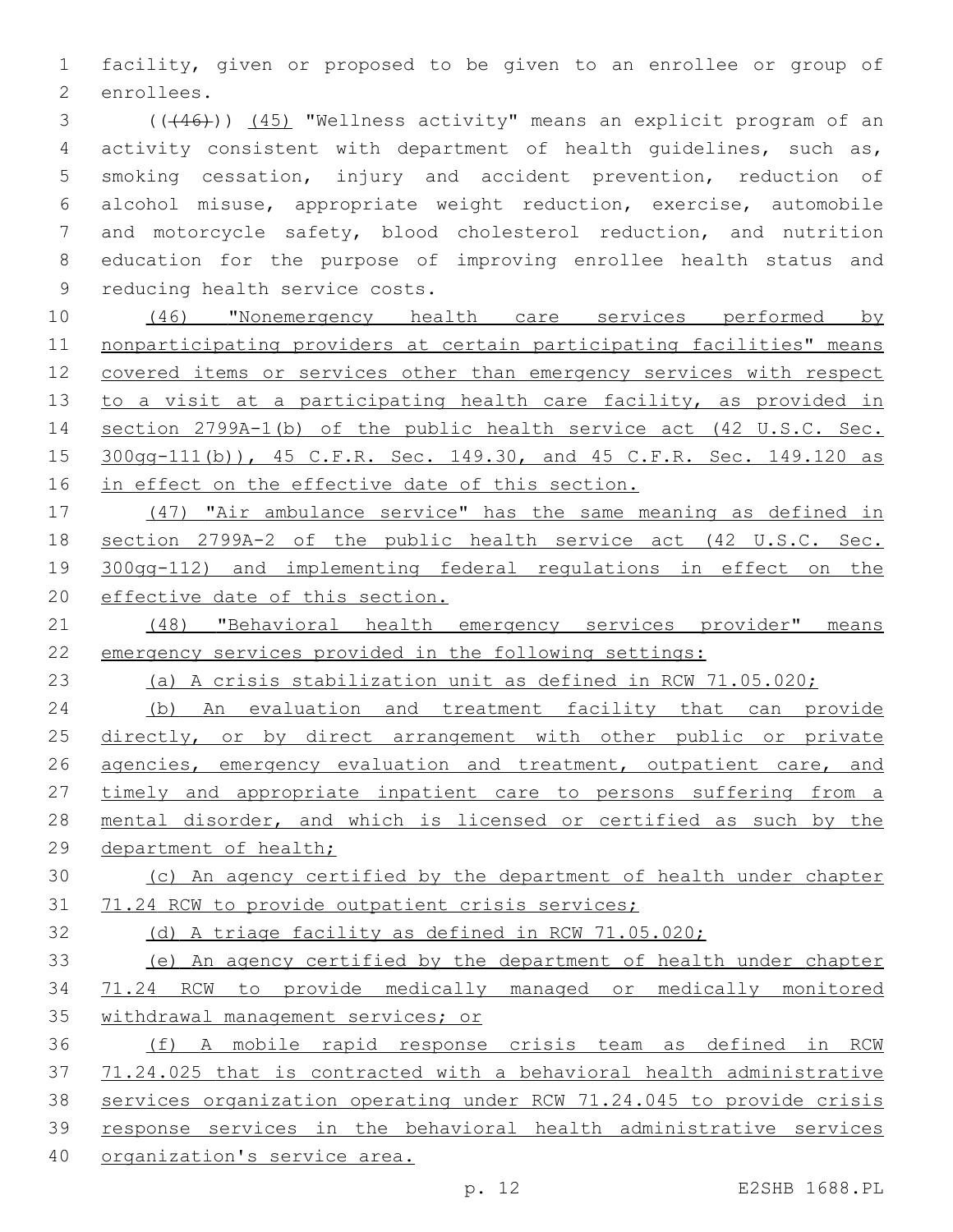facility, given or proposed to be given to an enrollee or group of 2 enrollees.

3 (((46))) (45) "Wellness activity" means an explicit program of an activity consistent with department of health guidelines, such as, smoking cessation, injury and accident prevention, reduction of alcohol misuse, appropriate weight reduction, exercise, automobile and motorcycle safety, blood cholesterol reduction, and nutrition education for the purpose of improving enrollee health status and 9 reducing health service costs.

 (46) "Nonemergency health care services performed by nonparticipating providers at certain participating facilities" means covered items or services other than emergency services with respect 13 to a visit at a participating health care facility, as provided in section 2799A-1(b) of the public health service act (42 U.S.C. Sec. 300gg-111(b)), 45 C.F.R. Sec. 149.30, and 45 C.F.R. Sec. 149.120 as 16 in effect on the effective date of this section.

 (47) "Air ambulance service" has the same meaning as defined in section 2799A-2 of the public health service act (42 U.S.C. Sec. 300gg-112) and implementing federal regulations in effect on the effective date of this section.

 (48) "Behavioral health emergency services provider" means emergency services provided in the following settings:

(a) A crisis stabilization unit as defined in RCW 71.05.020;

 (b) An evaluation and treatment facility that can provide 25 directly, or by direct arrangement with other public or private 26 agencies, emergency evaluation and treatment, outpatient care, and 27 timely and appropriate inpatient care to persons suffering from a mental disorder, and which is licensed or certified as such by the 29 department of health;

 (c) An agency certified by the department of health under chapter 71.24 RCW to provide outpatient crisis services;

(d) A triage facility as defined in RCW 71.05.020;

 (e) An agency certified by the department of health under chapter 71.24 RCW to provide medically managed or medically monitored withdrawal management services; or

 (f) A mobile rapid response crisis team as defined in RCW 71.24.025 that is contracted with a behavioral health administrative services organization operating under RCW 71.24.045 to provide crisis response services in the behavioral health administrative services organization's service area.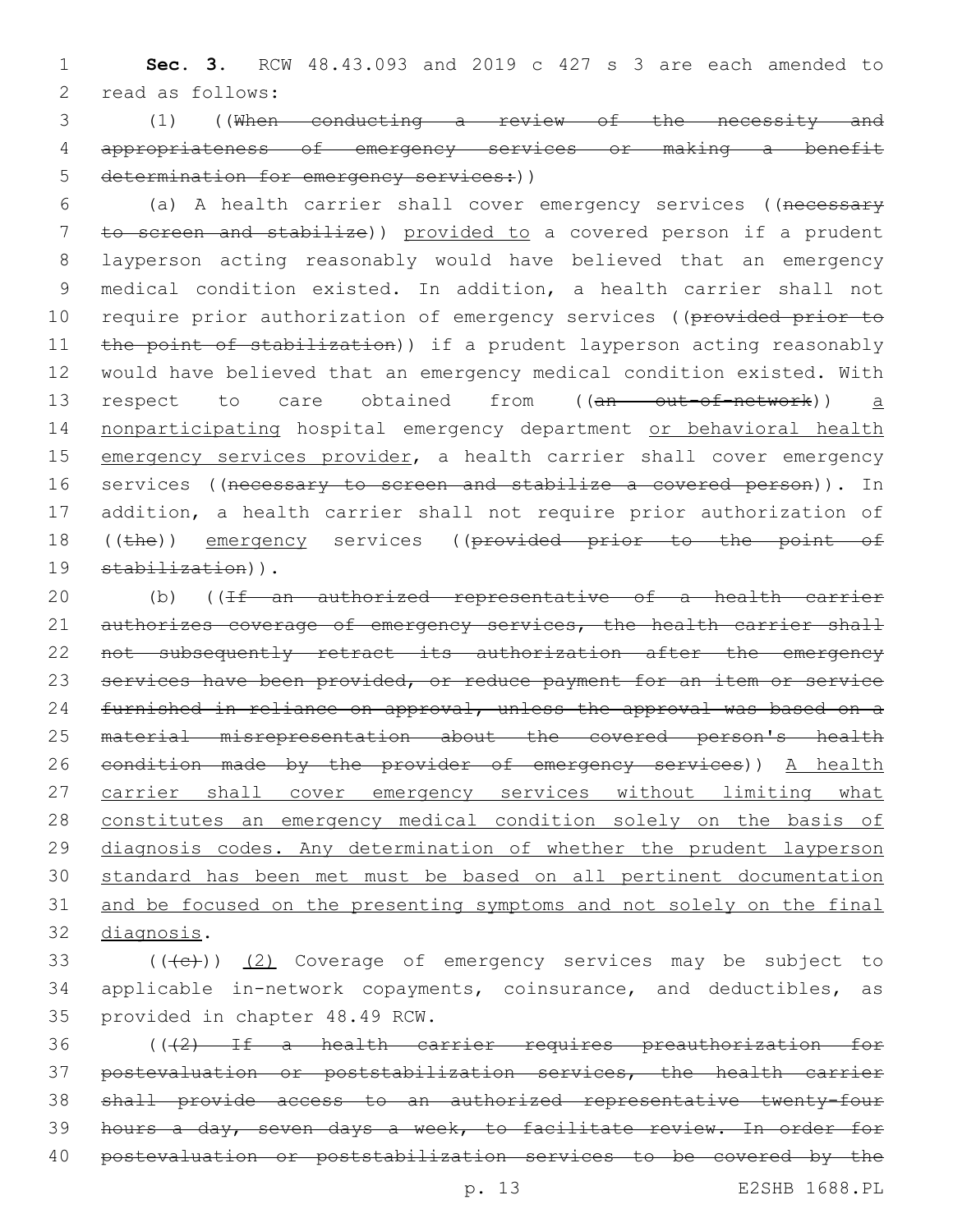1 **Sec. 3.** RCW 48.43.093 and 2019 c 427 s 3 are each amended to 2 read as follows:

3 (1) ((When conducting a review of the necessity and 4 appropriateness of emergency services or making a benefit 5 determination for emergency services: ()

6 (a) A health carrier shall cover emergency services ((necessary 7 to screen and stabilize)) provided to a covered person if a prudent 8 layperson acting reasonably would have believed that an emergency 9 medical condition existed. In addition, a health carrier shall not 10 require prior authorization of emergency services ((provided prior to 11 the point of stabilization)) if a prudent layperson acting reasonably 12 would have believed that an emergency medical condition existed. With 13 respect to care obtained from ((an out-of-network)) a 14 nonparticipating hospital emergency department or behavioral health 15 emergency services provider, a health carrier shall cover emergency 16 services ((necessary to screen and stabilize a covered person)). In 17 addition, a health carrier shall not require prior authorization of 18 ((the)) emergency services ((provided prior to the point of 19 stabilization)).

20 (b) ((If an authorized representative of a health carrier 21 authorizes coverage of emergency services, the health carrier shall 22 not subsequently retract its authorization after the emergency 23 services have been provided, or reduce payment for an item or service 24 furnished in reliance on approval, unless the approval was based on a 25 material misrepresentation about the covered person's health 26 condition made by the provider of emergency services)) A health 27 carrier shall cover emergency services without limiting what 28 constitutes an emergency medical condition solely on the basis of 29 diagnosis codes. Any determination of whether the prudent layperson 30 standard has been met must be based on all pertinent documentation 31 and be focused on the presenting symptoms and not solely on the final 32 diagnosis.

 $($  ( $($   $($   $($   $($   $))$   $($   $2)$  Coverage of emergency services may be subject to 34 applicable in-network copayments, coinsurance, and deductibles, as 35 provided in chapter 48.49 RCW.

 (((2) If a health carrier requires preauthorization for postevaluation or poststabilization services, the health carrier shall provide access to an authorized representative twenty-four hours a day, seven days a week, to facilitate review. In order for postevaluation or poststabilization services to be covered by the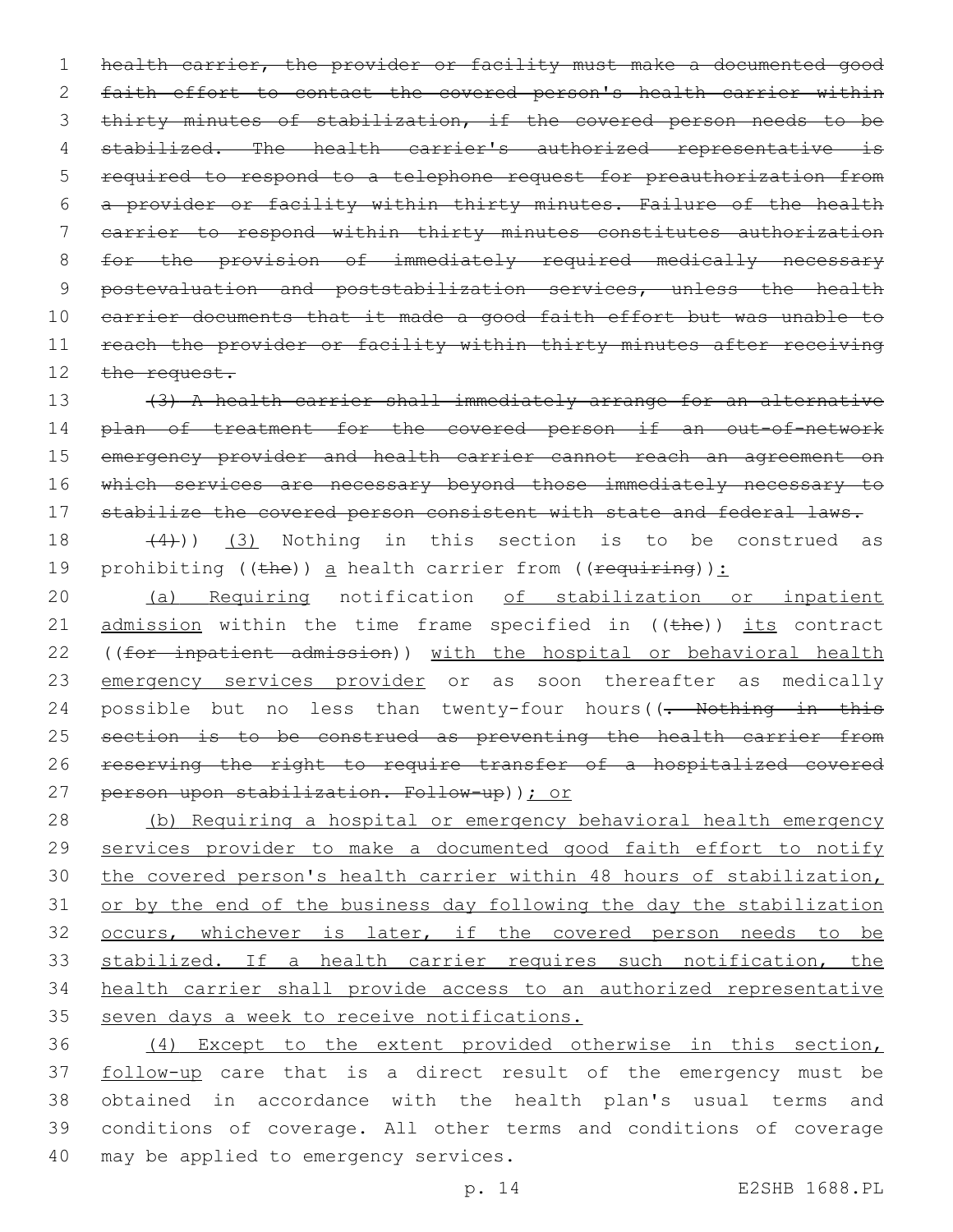1 health carrier, the provider or facility must make a documented good 2 faith effort to contact the covered person's health carrier within 3 thirty minutes of stabilization, if the covered person needs to be 4 stabilized. The health carrier's authorized representative is 5 required to respond to a telephone request for preauthorization from 6 a provider or facility within thirty minutes. Failure of the health 7 carrier to respond within thirty minutes constitutes authorization 8 for the provision of immediately required medically necessary 9 postevaluation and poststabilization services, unless the health 10 carrier documents that it made a good faith effort but was unable to 11 reach the provider or facility within thirty minutes after receiving 12 the request.

13 (3) A health carrier shall immediately arrange for an alternative 14 plan of treatment for the covered person if an out-of-network 15 emergency provider and health carrier cannot reach an agreement on 16 which services are necessary beyond those immediately necessary to 17 stabilize the covered person consistent with state and federal laws.

 $(4)$ ) (3) Nothing in this section is to be construed as 19 prohibiting ((the)) a health carrier from (( $\frac{1}{2}$ ):

20 (a) Requiring notification of stabilization or inpatient 21  $\alpha$  admission within the time frame specified in ((the)) its contract 22 ((for inpatient admission)) with the hospital or behavioral health 23 emergency services provider or as soon thereafter as medically 24 possible but no less than twenty-four hours((- Nothing in this 25 section is to be construed as preventing the health carrier from 26 reserving the right to require transfer of a hospitalized covered 27 person upon stabilization. Follow-up)); or

 (b) Requiring a hospital or emergency behavioral health emergency 29 services provider to make a documented good faith effort to notify the covered person's health carrier within 48 hours of stabilization, or by the end of the business day following the day the stabilization occurs, whichever is later, if the covered person needs to be stabilized. If a health carrier requires such notification, the health carrier shall provide access to an authorized representative 35 seven days a week to receive notifications.

36 (4) Except to the extent provided otherwise in this section, 37 follow-up care that is a direct result of the emergency must be 38 obtained in accordance with the health plan's usual terms and 39 conditions of coverage. All other terms and conditions of coverage 40 may be applied to emergency services.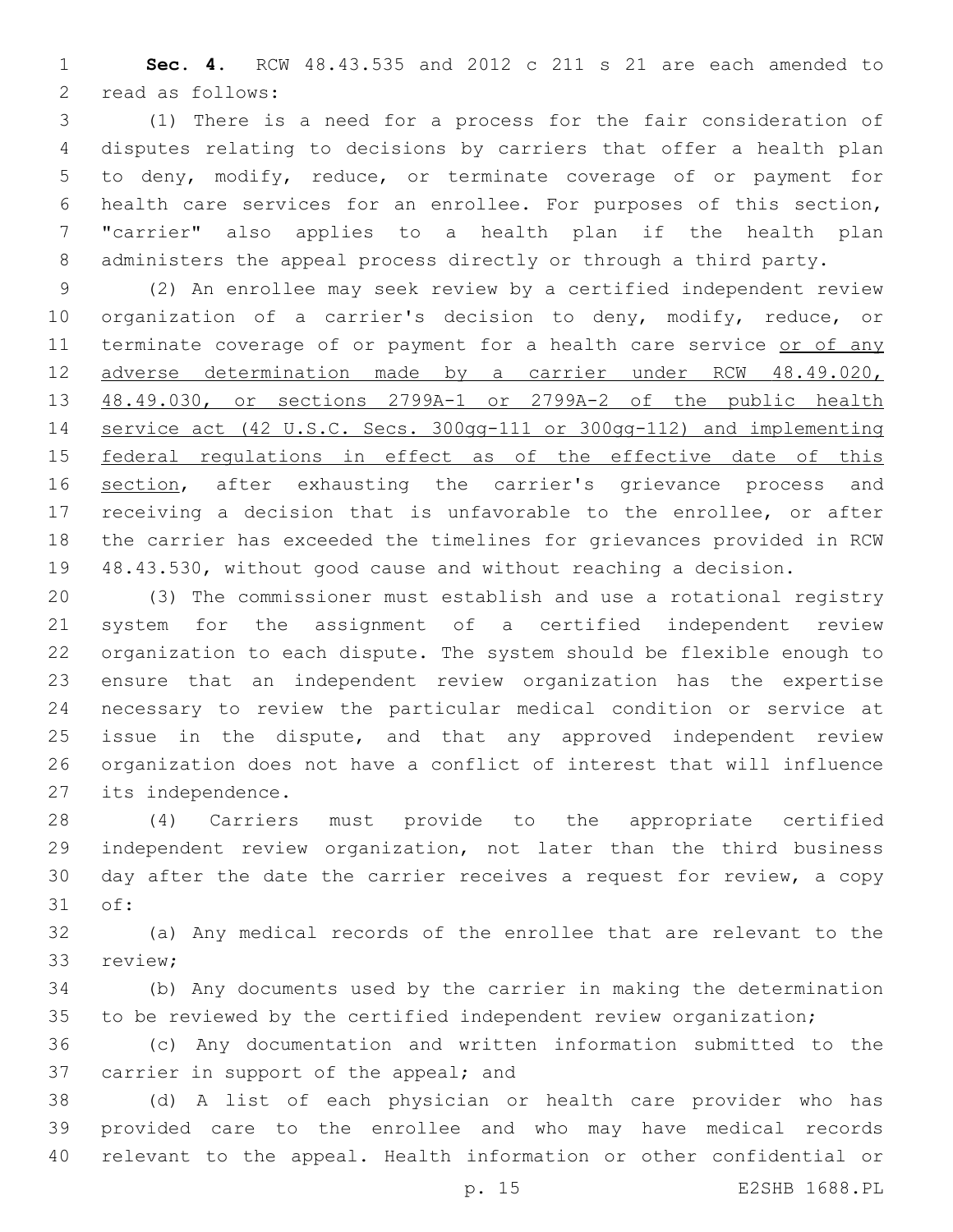**Sec. 4.** RCW 48.43.535 and 2012 c 211 s 21 are each amended to 2 read as follows:

 (1) There is a need for a process for the fair consideration of disputes relating to decisions by carriers that offer a health plan to deny, modify, reduce, or terminate coverage of or payment for health care services for an enrollee. For purposes of this section, "carrier" also applies to a health plan if the health plan administers the appeal process directly or through a third party.

 (2) An enrollee may seek review by a certified independent review organization of a carrier's decision to deny, modify, reduce, or 11 terminate coverage of or payment for a health care service or of any adverse determination made by a carrier under RCW 48.49.020, 48.49.030, or sections 2799A-1 or 2799A-2 of the public health service act (42 U.S.C. Secs. 300gg-111 or 300gg-112) and implementing 15 federal regulations in effect as of the effective date of this 16 section, after exhausting the carrier's grievance process and receiving a decision that is unfavorable to the enrollee, or after the carrier has exceeded the timelines for grievances provided in RCW 48.43.530, without good cause and without reaching a decision.

 (3) The commissioner must establish and use a rotational registry system for the assignment of a certified independent review organization to each dispute. The system should be flexible enough to ensure that an independent review organization has the expertise necessary to review the particular medical condition or service at issue in the dispute, and that any approved independent review organization does not have a conflict of interest that will influence 27 its independence.

 (4) Carriers must provide to the appropriate certified independent review organization, not later than the third business day after the date the carrier receives a request for review, a copy 31 of:

 (a) Any medical records of the enrollee that are relevant to the 33 review;

 (b) Any documents used by the carrier in making the determination 35 to be reviewed by the certified independent review organization;

 (c) Any documentation and written information submitted to the 37 carrier in support of the appeal; and

 (d) A list of each physician or health care provider who has provided care to the enrollee and who may have medical records relevant to the appeal. Health information or other confidential or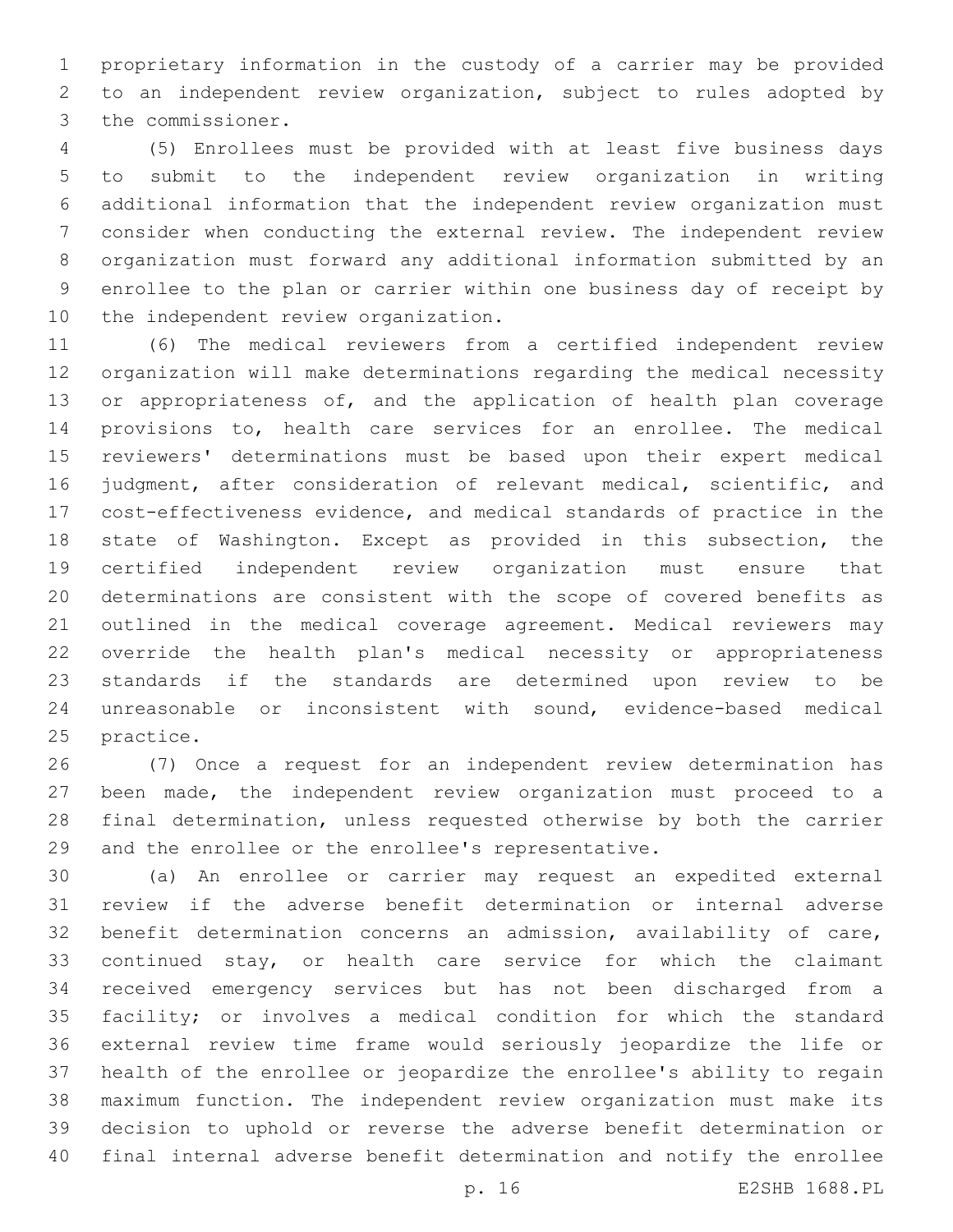proprietary information in the custody of a carrier may be provided to an independent review organization, subject to rules adopted by 3 the commissioner.

 (5) Enrollees must be provided with at least five business days to submit to the independent review organization in writing additional information that the independent review organization must consider when conducting the external review. The independent review organization must forward any additional information submitted by an enrollee to the plan or carrier within one business day of receipt by 10 the independent review organization.

 (6) The medical reviewers from a certified independent review organization will make determinations regarding the medical necessity 13 or appropriateness of, and the application of health plan coverage provisions to, health care services for an enrollee. The medical reviewers' determinations must be based upon their expert medical judgment, after consideration of relevant medical, scientific, and cost-effectiveness evidence, and medical standards of practice in the state of Washington. Except as provided in this subsection, the certified independent review organization must ensure that determinations are consistent with the scope of covered benefits as outlined in the medical coverage agreement. Medical reviewers may override the health plan's medical necessity or appropriateness standards if the standards are determined upon review to be unreasonable or inconsistent with sound, evidence-based medical 25 practice.

 (7) Once a request for an independent review determination has been made, the independent review organization must proceed to a final determination, unless requested otherwise by both the carrier and the enrollee or the enrollee's representative.

 (a) An enrollee or carrier may request an expedited external review if the adverse benefit determination or internal adverse benefit determination concerns an admission, availability of care, 33 continued stay, or health care service for which the claimant received emergency services but has not been discharged from a facility; or involves a medical condition for which the standard external review time frame would seriously jeopardize the life or health of the enrollee or jeopardize the enrollee's ability to regain maximum function. The independent review organization must make its decision to uphold or reverse the adverse benefit determination or final internal adverse benefit determination and notify the enrollee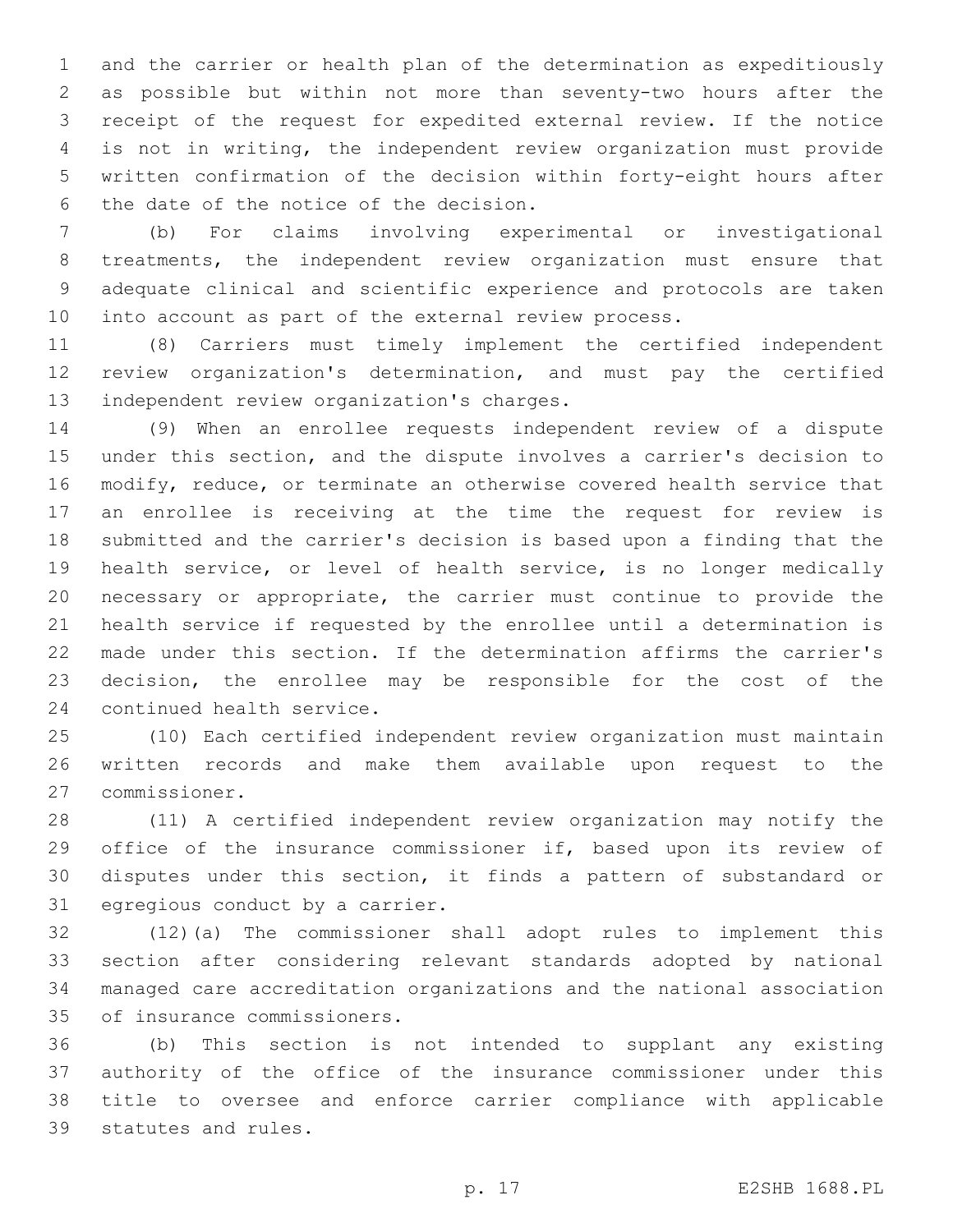and the carrier or health plan of the determination as expeditiously as possible but within not more than seventy-two hours after the receipt of the request for expedited external review. If the notice is not in writing, the independent review organization must provide written confirmation of the decision within forty-eight hours after 6 the date of the notice of the decision.

 (b) For claims involving experimental or investigational treatments, the independent review organization must ensure that adequate clinical and scientific experience and protocols are taken into account as part of the external review process.

 (8) Carriers must timely implement the certified independent review organization's determination, and must pay the certified 13 independent review organization's charges.

 (9) When an enrollee requests independent review of a dispute under this section, and the dispute involves a carrier's decision to modify, reduce, or terminate an otherwise covered health service that an enrollee is receiving at the time the request for review is submitted and the carrier's decision is based upon a finding that the health service, or level of health service, is no longer medically necessary or appropriate, the carrier must continue to provide the health service if requested by the enrollee until a determination is made under this section. If the determination affirms the carrier's decision, the enrollee may be responsible for the cost of the 24 continued health service.

 (10) Each certified independent review organization must maintain written records and make them available upon request to the commissioner.27

 (11) A certified independent review organization may notify the 29 office of the insurance commissioner if, based upon its review of disputes under this section, it finds a pattern of substandard or 31 egregious conduct by a carrier.

 (12)(a) The commissioner shall adopt rules to implement this section after considering relevant standards adopted by national managed care accreditation organizations and the national association 35 of insurance commissioners.

 (b) This section is not intended to supplant any existing authority of the office of the insurance commissioner under this title to oversee and enforce carrier compliance with applicable 39 statutes and rules.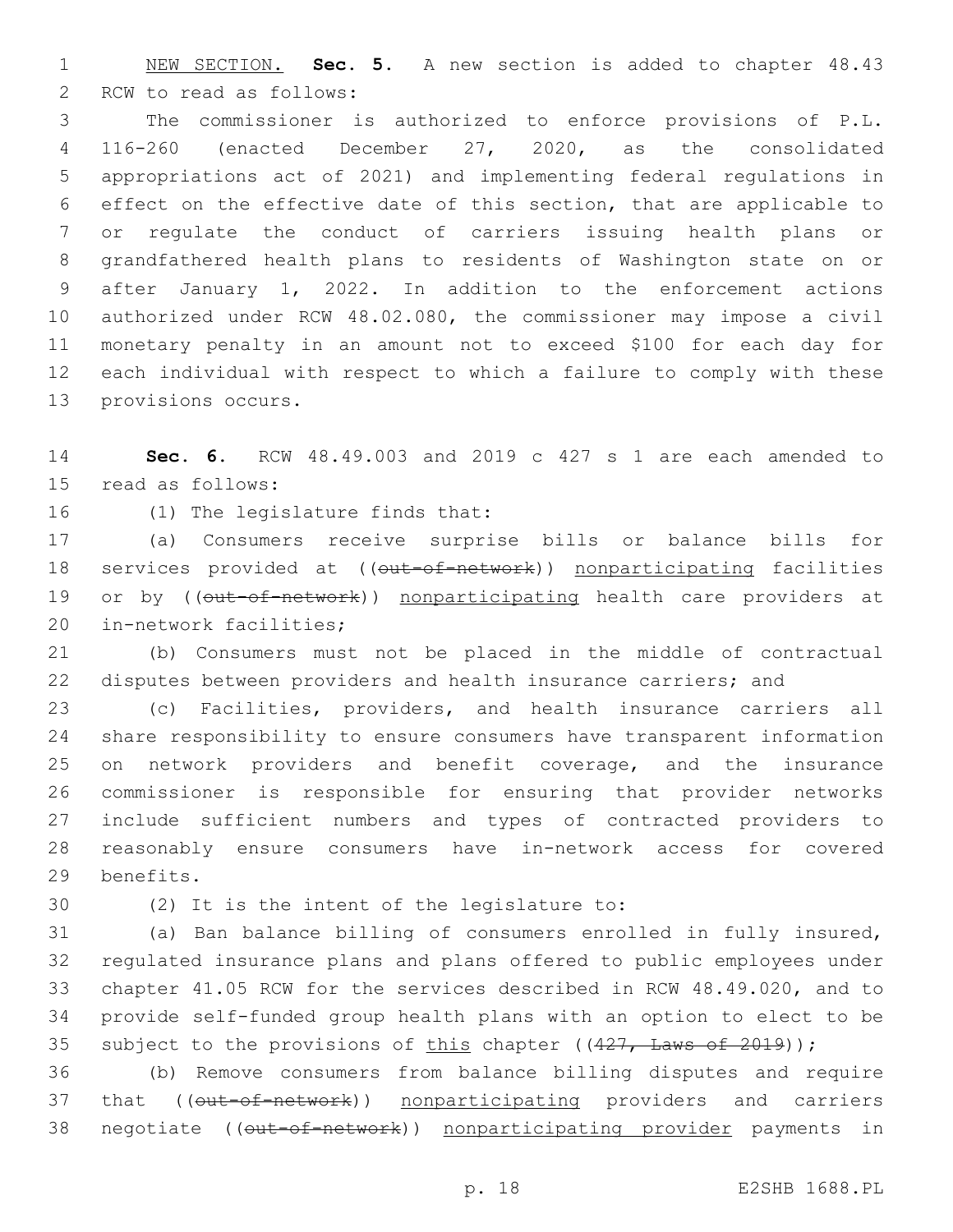NEW SECTION. **Sec. 5.** A new section is added to chapter 48.43 2 RCW to read as follows:

 The commissioner is authorized to enforce provisions of P.L. 116-260 (enacted December 27, 2020, as the consolidated appropriations act of 2021) and implementing federal regulations in effect on the effective date of this section, that are applicable to or regulate the conduct of carriers issuing health plans or grandfathered health plans to residents of Washington state on or after January 1, 2022. In addition to the enforcement actions authorized under RCW 48.02.080, the commissioner may impose a civil monetary penalty in an amount not to exceed \$100 for each day for each individual with respect to which a failure to comply with these 13 provisions occurs.

 **Sec. 6.** RCW 48.49.003 and 2019 c 427 s 1 are each amended to 15 read as follows:

16 (1) The legislature finds that:

 (a) Consumers receive surprise bills or balance bills for 18 services provided at ((out-of-network)) nonparticipating facilities 19 or by ((out-of-network)) nonparticipating health care providers at 20 in-network facilities;

 (b) Consumers must not be placed in the middle of contractual disputes between providers and health insurance carriers; and

 (c) Facilities, providers, and health insurance carriers all share responsibility to ensure consumers have transparent information on network providers and benefit coverage, and the insurance commissioner is responsible for ensuring that provider networks include sufficient numbers and types of contracted providers to reasonably ensure consumers have in-network access for covered 29 benefits.

30 (2) It is the intent of the legislature to:

 (a) Ban balance billing of consumers enrolled in fully insured, regulated insurance plans and plans offered to public employees under chapter 41.05 RCW for the services described in RCW 48.49.020, and to provide self-funded group health plans with an option to elect to be 35 subject to the provisions of this chapter  $((427, \text{ Laws of } 2019))$ ;

 (b) Remove consumers from balance billing disputes and require 37 that (( $\overline{\text{out-of-network}}$ ) nonparticipating providers and carriers 38 negotiate ((out-of-network)) nonparticipating provider payments in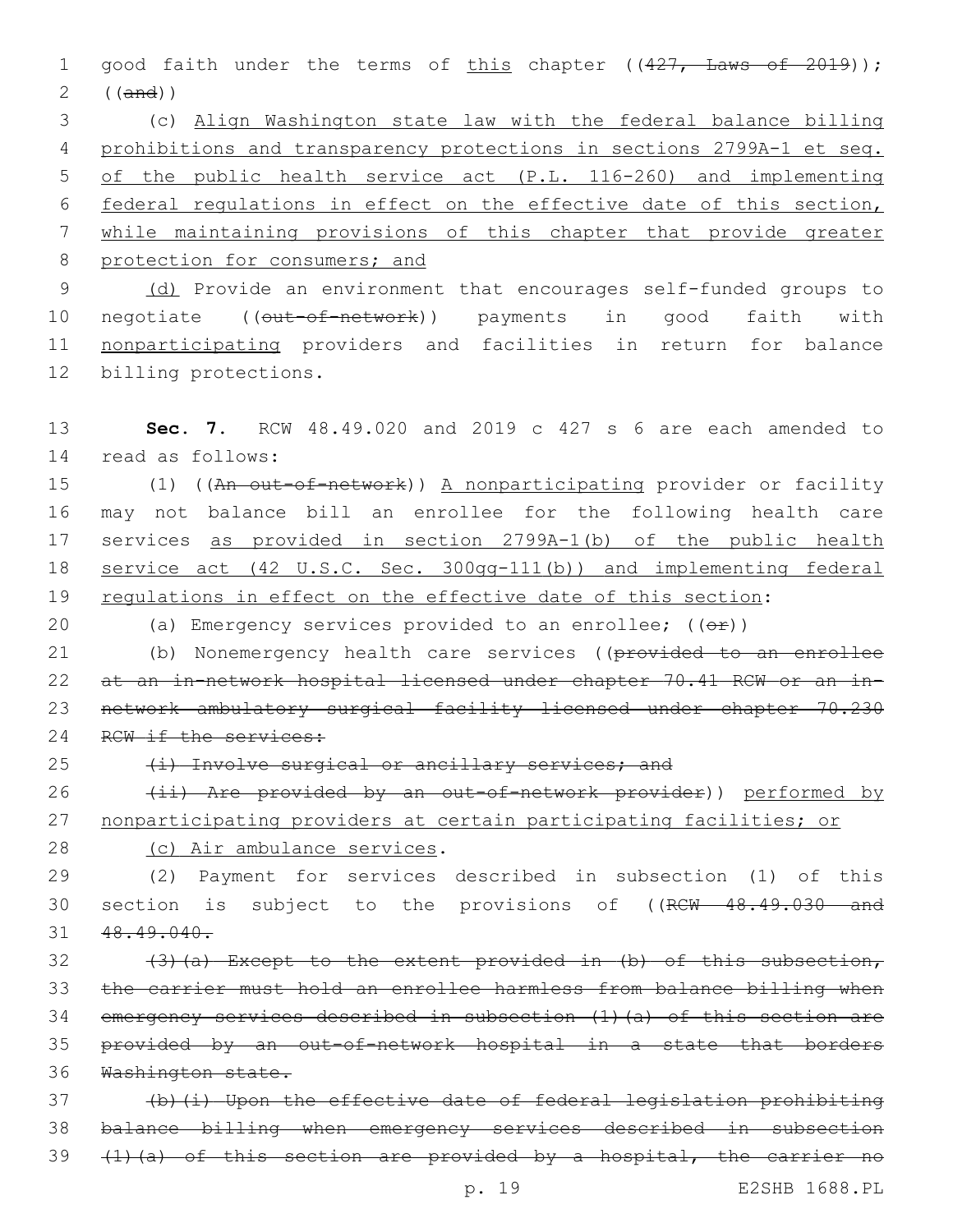1 good faith under the terms of this chapter ((427, Laws of 2019)); 2 ((and))

 (c) Align Washington state law with the federal balance billing prohibitions and transparency protections in sections 2799A-1 et seq. of the public health service act (P.L. 116-260) and implementing federal regulations in effect on the effective date of this section, while maintaining provisions of this chapter that provide greater 8 protection for consumers; and

9 (d) Provide an environment that encourages self-funded groups to 10 negotiate ((out-of-network)) payments in good faith with 11 nonparticipating providers and facilities in return for balance 12 billing protections.

13 **Sec. 7.** RCW 48.49.020 and 2019 c 427 s 6 are each amended to 14 read as follows:

15 (1) ((An out-of-network)) A nonparticipating provider or facility 16 may not balance bill an enrollee for the following health care 17 services as provided in section 2799A-1(b) of the public health 18 service act (42 U.S.C. Sec. 300gg-111(b)) and implementing federal 19 requlations in effect on the effective date of this section:

20 (a) Emergency services provided to an enrollee;  $($   $($  $\Theta$  $\mathbf{r}$  $))$ 

21 (b) Nonemergency health care services ((provided to an enrollee 22 at an in-network hospital licensed under chapter 70.41 RCW or an in-23 network ambulatory surgical facility licensed under chapter 70.230 24 RCW if the services:

25 (i) Involve surgical or ancillary services; and

26 (ii) Are provided by an out-of-network provider)) performed by 27 nonparticipating providers at certain participating facilities; or

28 (c) Air ambulance services.

29 (2) Payment for services described in subsection (1) of this 30 section is subject to the provisions of ((RCW 48.49.030 and 31 48.49.040.

32 (3)(a) Except to the extent provided in (b) of this subsection, the carrier must hold an enrollee harmless from balance billing when emergency services described in subsection (1)(a) of this section are provided by an out-of-network hospital in a state that borders Washington state.

37 (b)(i) Upon the effective date of federal legislation prohibiting 38 balance billing when emergency services described in subsection 39 (1)(a) of this section are provided by a hospital, the carrier no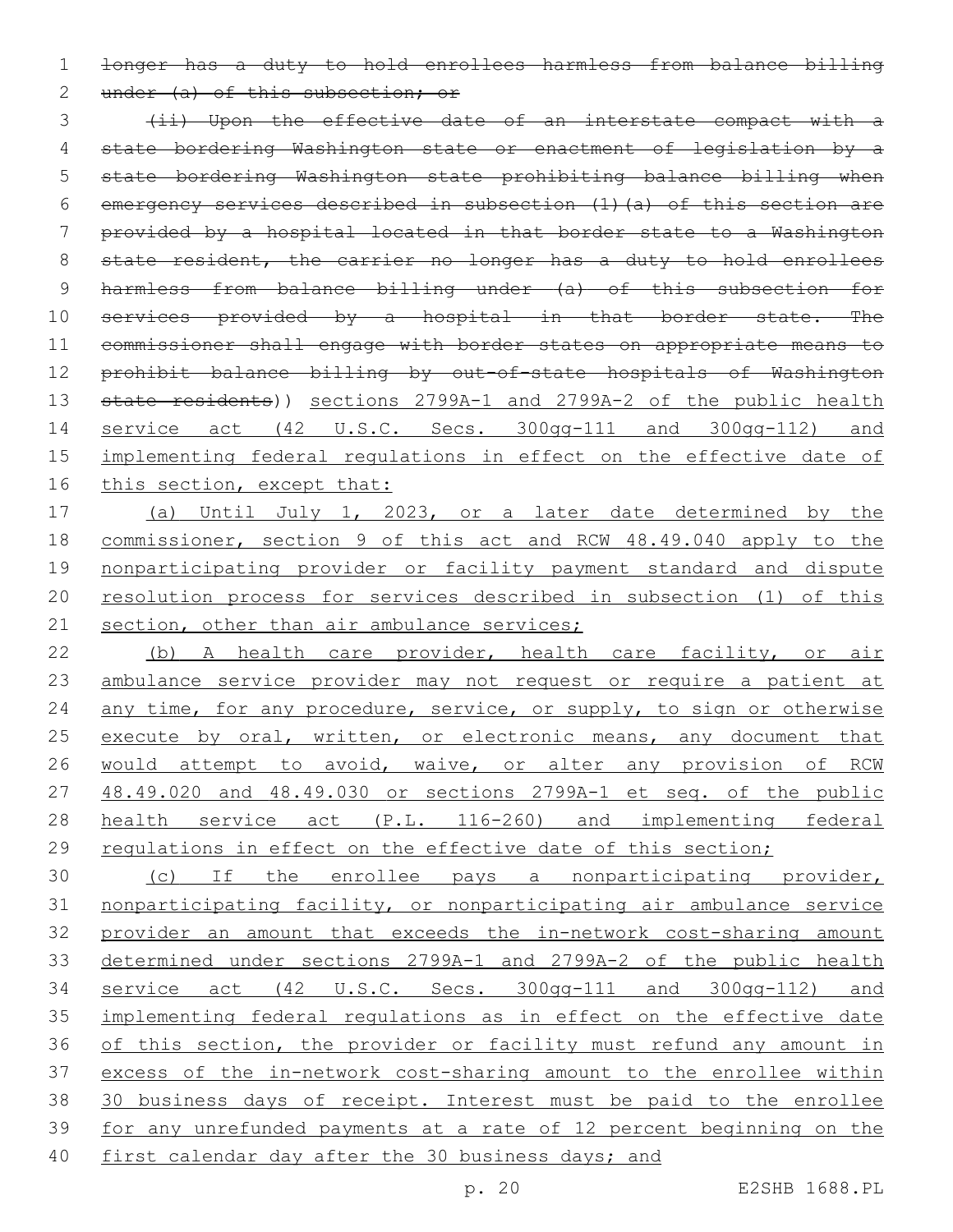1 longer has a duty to hold enrollees harmless from balance billing

2 under (a) of this subsection; or

3 (ii) Upon the effective date of an interstate compact with a 4 state bordering Washington state or enactment of legislation by a 5 state bordering Washington state prohibiting balance billing when 6 emergency services described in subsection (1)(a) of this section are 7 provided by a hospital located in that border state to a Washington 8 state resident, the carrier no longer has a duty to hold enrollees 9 harmless from balance billing under (a) of this subsection for 10 services provided by a hospital in that border state. The 11 commissioner shall engage with border states on appropriate means to 12 prohibit balance billing by out-of-state hospitals of Washington 13 state residents)) sections 2799A-1 and 2799A-2 of the public health 14 service act (42 U.S.C. Secs. 300gg-111 and 300gg-112) and 15 implementing federal regulations in effect on the effective date of 16 this section, except that:

 (a) Until July 1, 2023, or a later date determined by the commissioner, section 9 of this act and RCW 48.49.040 apply to the nonparticipating provider or facility payment standard and dispute resolution process for services described in subsection (1) of this 21 section, other than air ambulance services;

22 (b) A health care provider, health care facility, or air 23 ambulance service provider may not request or require a patient at 24 any time, for any procedure, service, or supply, to sign or otherwise 25 execute by oral, written, or electronic means, any document that 26 would attempt to avoid, waive, or alter any provision of RCW 27 48.49.020 and 48.49.030 or sections 2799A-1 et seq. of the public 28 health service act (P.L. 116-260) and implementing federal 29 regulations in effect on the effective date of this section;

 (c) If the enrollee pays a nonparticipating provider, nonparticipating facility, or nonparticipating air ambulance service provider an amount that exceeds the in-network cost-sharing amount determined under sections 2799A-1 and 2799A-2 of the public health service act (42 U.S.C. Secs. 300gg-111 and 300gg-112) and implementing federal regulations as in effect on the effective date 36 of this section, the provider or facility must refund any amount in excess of the in-network cost-sharing amount to the enrollee within 30 business days of receipt. Interest must be paid to the enrollee for any unrefunded payments at a rate of 12 percent beginning on the 40 first calendar day after the 30 business days; and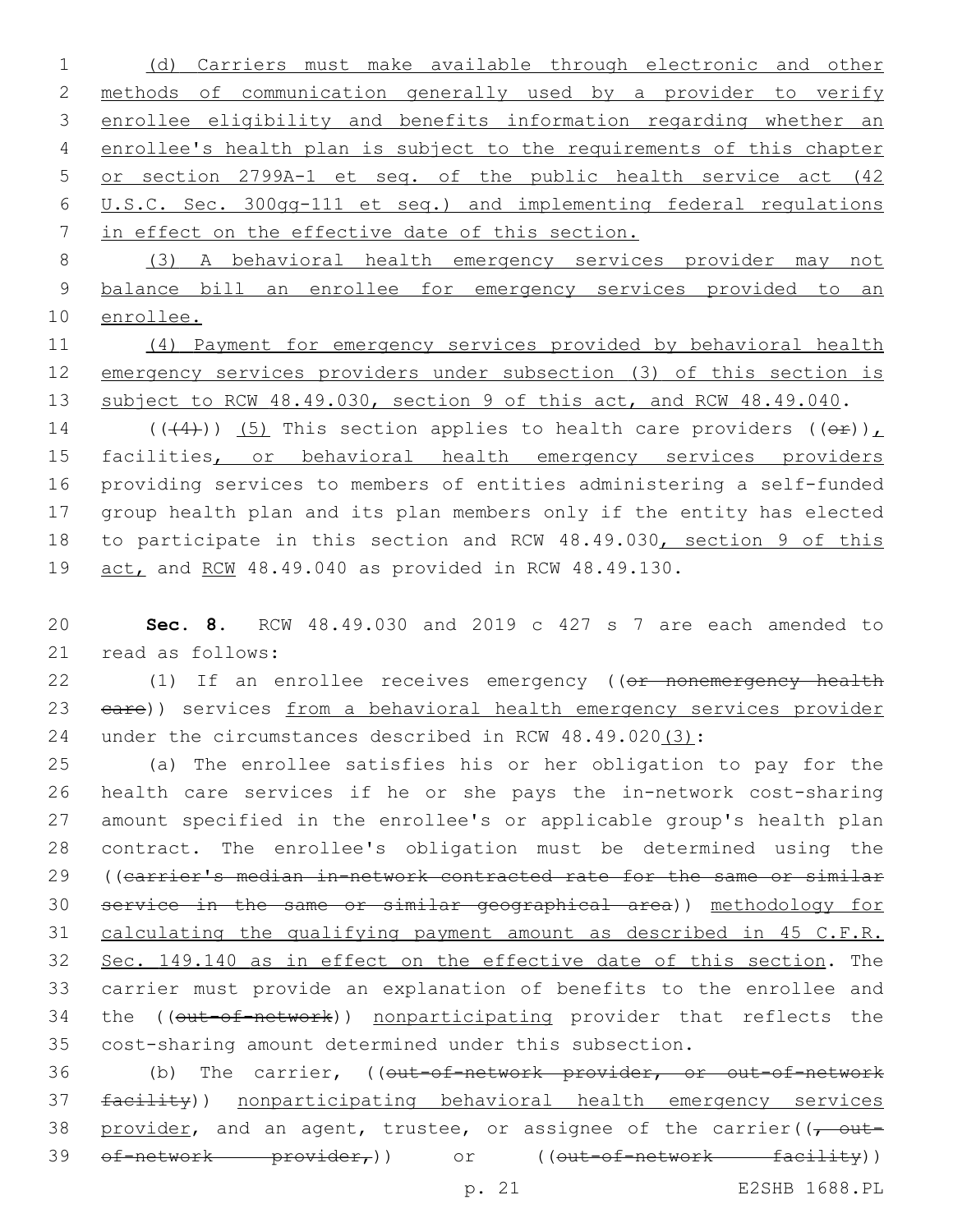(d) Carriers must make available through electronic and other methods of communication generally used by a provider to verify enrollee eligibility and benefits information regarding whether an enrollee's health plan is subject to the requirements of this chapter or section 2799A-1 et seq. of the public health service act (42 U.S.C. Sec. 300gg-111 et seq.) and implementing federal regulations in effect on the effective date of this section.

 (3) A behavioral health emergency services provider may not balance bill an enrollee for emergency services provided to an enrollee.

 (4) Payment for emergency services provided by behavioral health emergency services providers under subsection (3) of this section is 13 subject to RCW 48.49.030, section 9 of this act, and RCW 48.49.040.

14 (( $(4)$ )) (5) This section applies to health care providers ( $(e^E)$ ), 15 facilities, or behavioral health emergency services providers providing services to members of entities administering a self-funded group health plan and its plan members only if the entity has elected 18 to participate in this section and RCW 48.49.030, section 9 of this act, and RCW 48.49.040 as provided in RCW 48.49.130.

 **Sec. 8.** RCW 48.49.030 and 2019 c 427 s 7 are each amended to 21 read as follows:

22 (1) If an enrollee receives emergency ((or nonemergency health 23 eare)) services from a behavioral health emergency services provider under the circumstances described in RCW 48.49.020(3):

 (a) The enrollee satisfies his or her obligation to pay for the health care services if he or she pays the in-network cost-sharing amount specified in the enrollee's or applicable group's health plan contract. The enrollee's obligation must be determined using the ((carrier's median in-network contracted rate for the same or similar service in the same or similar geographical area)) methodology for calculating the qualifying payment amount as described in 45 C.F.R. Sec. 149.140 as in effect on the effective date of this section. The carrier must provide an explanation of benefits to the enrollee and 34 the ((out-of-network)) nonparticipating provider that reflects the cost-sharing amount determined under this subsection.

 (b) The carrier, ((out-of-network provider, or out-of-network facility)) nonparticipating behavioral health emergency services 38 provider, and an agent, trustee, or assignee of the carrier( $(-$  out-39 of-network provider,)) or ((out-of-network facility))

p. 21 E2SHB 1688.PL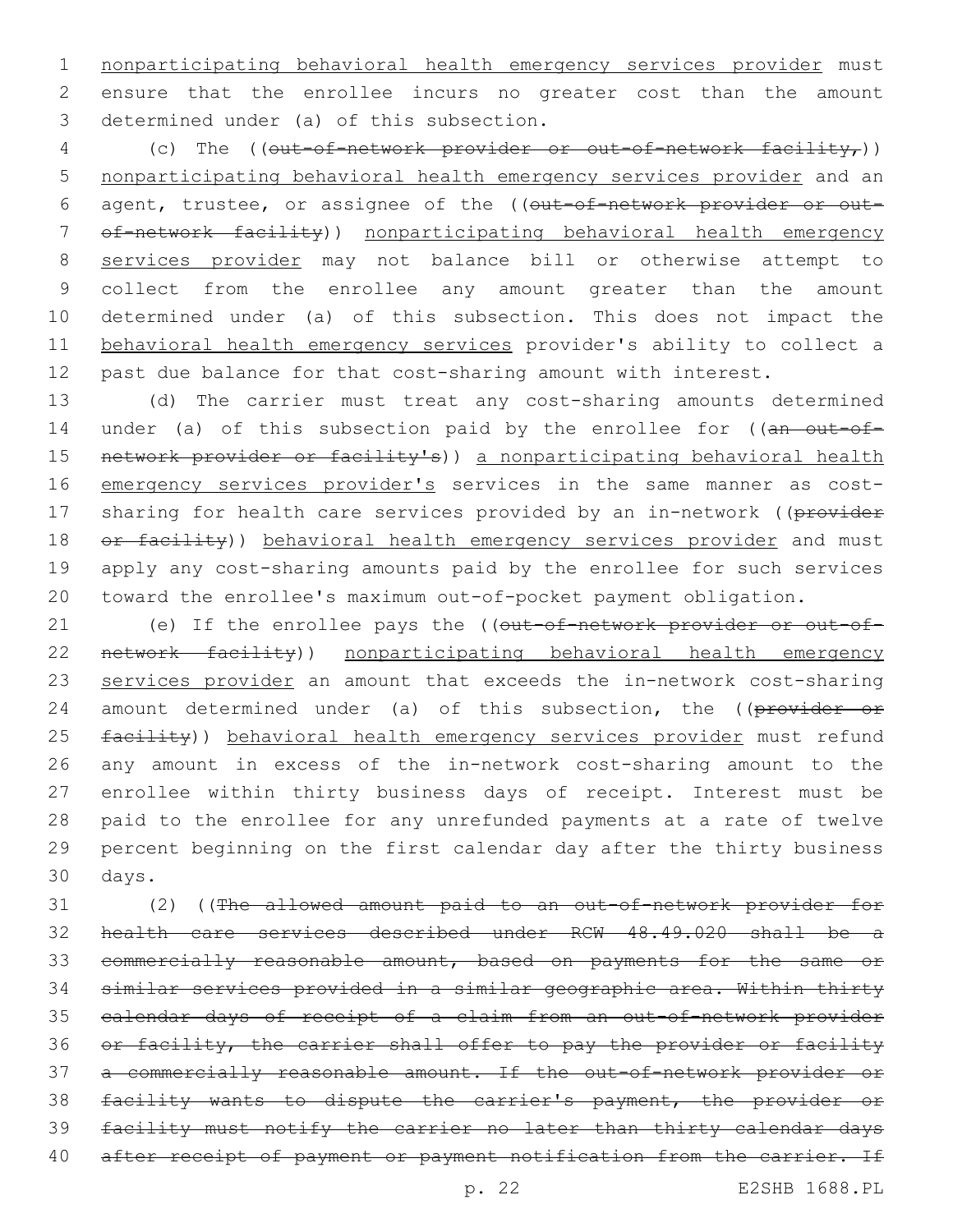nonparticipating behavioral health emergency services provider must ensure that the enrollee incurs no greater cost than the amount 3 determined under (a) of this subsection.

4 (c) The ((out-of-network provider or out-of-network facility,)) nonparticipating behavioral health emergency services provider and an 6 agent, trustee, or assignee of the ((out-of-network provider or out- of-network facility)) nonparticipating behavioral health emergency services provider may not balance bill or otherwise attempt to collect from the enrollee any amount greater than the amount determined under (a) of this subsection. This does not impact the behavioral health emergency services provider's ability to collect a past due balance for that cost-sharing amount with interest.

 (d) The carrier must treat any cost-sharing amounts determined 14 under (a) of this subsection paid by the enrollee for ((an out-of-15 network provider or facility's)) a nonparticipating behavioral health emergency services provider's services in the same manner as cost-17 sharing for health care services provided by an in-network ((provider 18 or facility)) behavioral health emergency services provider and must apply any cost-sharing amounts paid by the enrollee for such services toward the enrollee's maximum out-of-pocket payment obligation.

21 (e) If the enrollee pays the ((out-of-network provider or out-of-22 network facility)) nonparticipating behavioral health emergency services provider an amount that exceeds the in-network cost-sharing 24 amount determined under (a) of this subsection, the ((provider or 25 facility)) behavioral health emergency services provider must refund any amount in excess of the in-network cost-sharing amount to the enrollee within thirty business days of receipt. Interest must be paid to the enrollee for any unrefunded payments at a rate of twelve percent beginning on the first calendar day after the thirty business 30 days.

 (2) ((The allowed amount paid to an out-of-network provider for health care services described under RCW 48.49.020 shall be a commercially reasonable amount, based on payments for the same or similar services provided in a similar geographic area. Within thirty calendar days of receipt of a claim from an out-of-network provider 36 or facility, the carrier shall offer to pay the provider or facility a commercially reasonable amount. If the out-of-network provider or facility wants to dispute the carrier's payment, the provider or facility must notify the carrier no later than thirty calendar days 40 after receipt of payment or payment notification from the carrier. If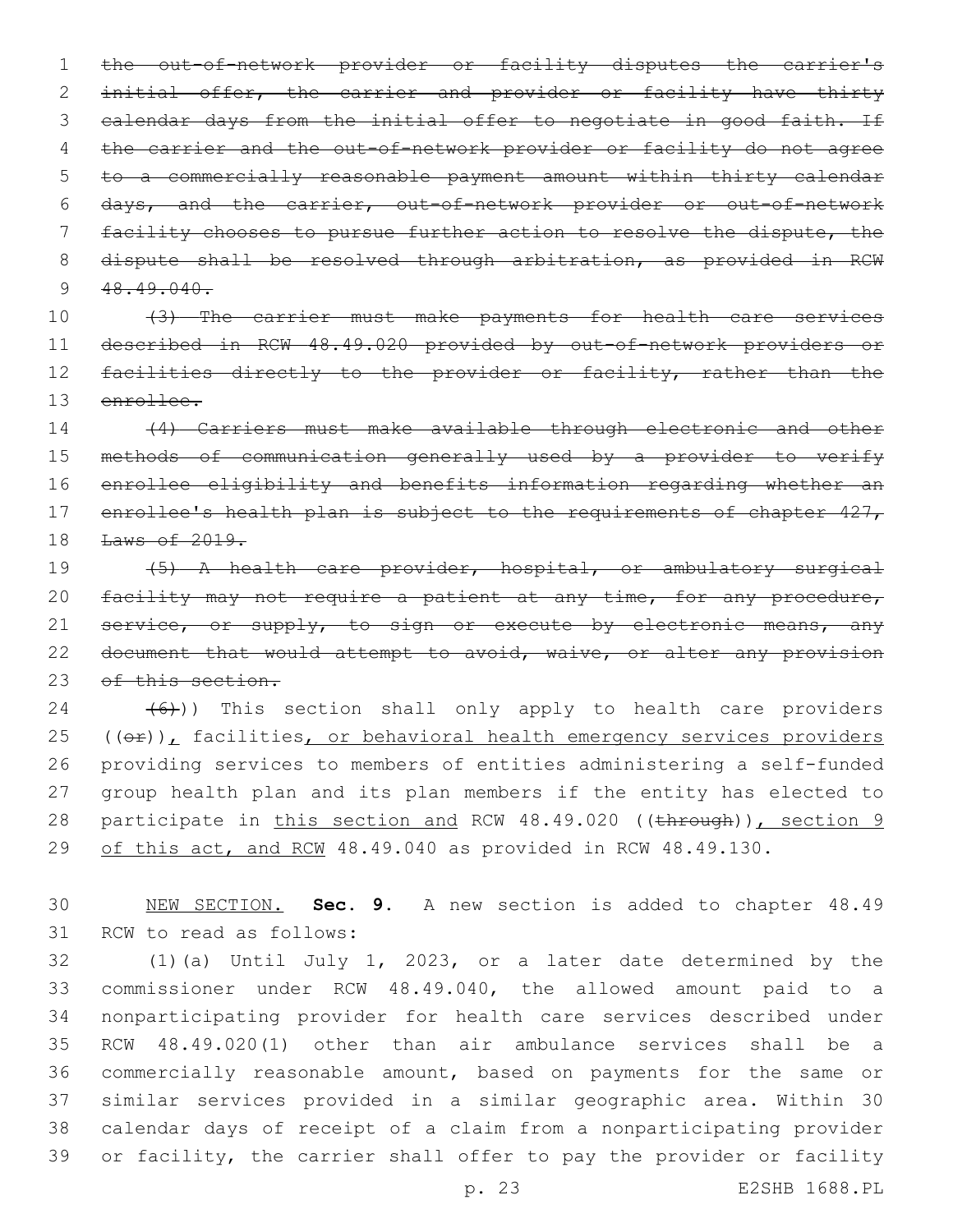the out-of-network provider or facility disputes the carrier's initial offer, the carrier and provider or facility have thirty 3 calendar days from the initial offer to negotiate in good faith. If 4 the carrier and the out-of-network provider or facility do not agree to a commercially reasonable payment amount within thirty calendar days, and the carrier, out-of-network provider or out-of-network facility chooses to pursue further action to resolve the dispute, the 8 dispute shall be resolved through arbitration, as provided in RCW  $48.49.040$ .

 (3) The carrier must make payments for health care services described in RCW 48.49.020 provided by out-of-network providers or 12 facilities directly to the provider or facility, rather than the enrollee.

 (4) Carriers must make available through electronic and other methods of communication generally used by a provider to verify enrollee eligibility and benefits information regarding whether an 17 enrollee's health plan is subject to the requirements of chapter 427, Laws of 2019.

 (5) A health care provider, hospital, or ambulatory surgical 20 facility may not require a patient at any time, for any procedure, 21 service, or supply, to sign or execute by electronic means, any 22 document that would attempt to avoid, waive, or alter any provision 23 of this section.

  $(6)$ )) This section shall only apply to health care providers  $(40)$ , facilities, or behavioral health emergency services providers providing services to members of entities administering a self-funded group health plan and its plan members if the entity has elected to 28 participate in this section and RCW 48.49.020 ((through)), section 9 29 of this act, and RCW 48.49.040 as provided in RCW 48.49.130.

 NEW SECTION. **Sec. 9.** A new section is added to chapter 48.49 31 RCW to read as follows:

 (1)(a) Until July 1, 2023, or a later date determined by the commissioner under RCW 48.49.040, the allowed amount paid to a nonparticipating provider for health care services described under RCW 48.49.020(1) other than air ambulance services shall be a commercially reasonable amount, based on payments for the same or similar services provided in a similar geographic area. Within 30 calendar days of receipt of a claim from a nonparticipating provider or facility, the carrier shall offer to pay the provider or facility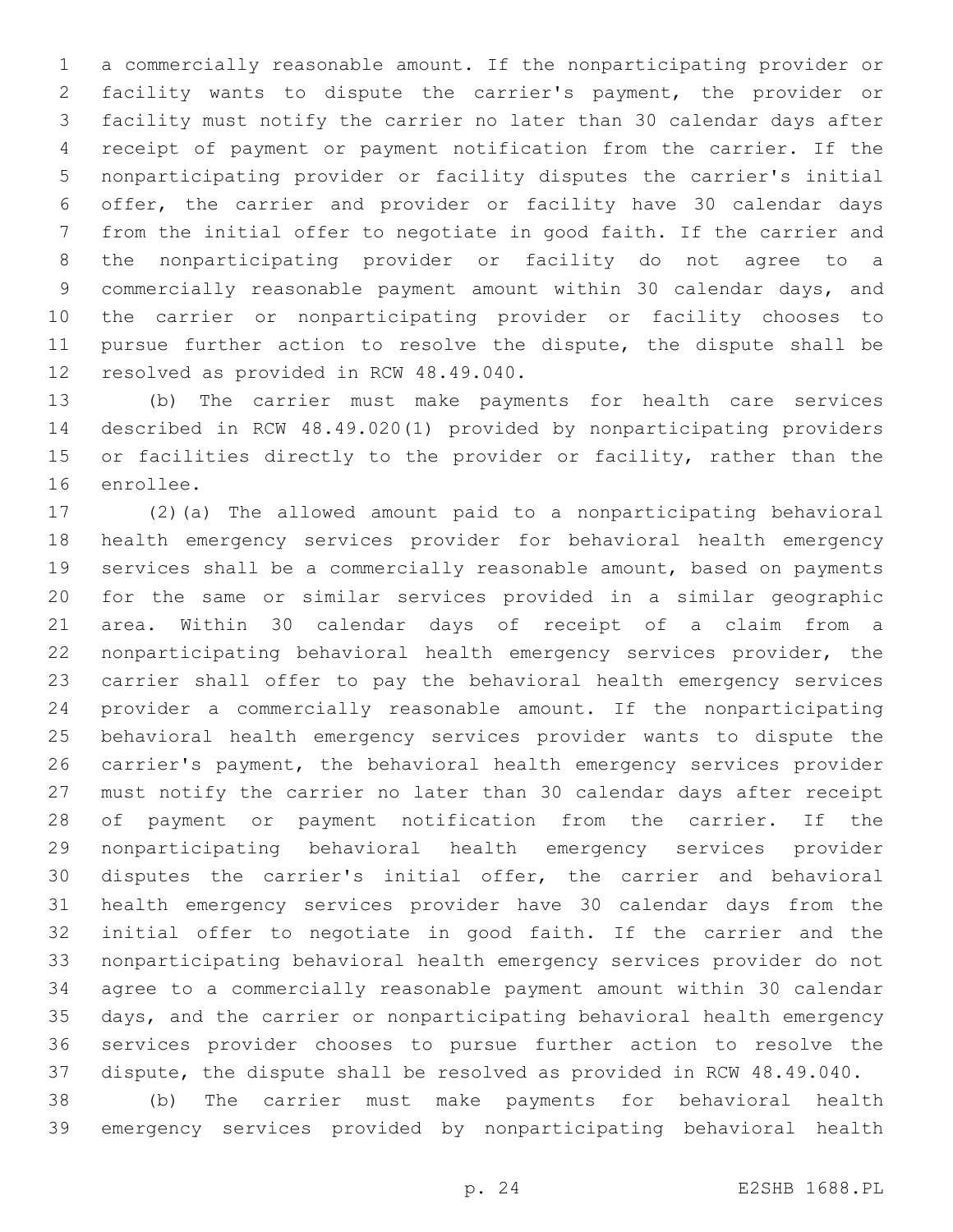a commercially reasonable amount. If the nonparticipating provider or facility wants to dispute the carrier's payment, the provider or facility must notify the carrier no later than 30 calendar days after receipt of payment or payment notification from the carrier. If the nonparticipating provider or facility disputes the carrier's initial offer, the carrier and provider or facility have 30 calendar days from the initial offer to negotiate in good faith. If the carrier and the nonparticipating provider or facility do not agree to a commercially reasonable payment amount within 30 calendar days, and the carrier or nonparticipating provider or facility chooses to pursue further action to resolve the dispute, the dispute shall be 12 resolved as provided in RCW 48.49.040.

 (b) The carrier must make payments for health care services described in RCW 48.49.020(1) provided by nonparticipating providers or facilities directly to the provider or facility, rather than the 16 enrollee.

 (2)(a) The allowed amount paid to a nonparticipating behavioral health emergency services provider for behavioral health emergency services shall be a commercially reasonable amount, based on payments for the same or similar services provided in a similar geographic area. Within 30 calendar days of receipt of a claim from a nonparticipating behavioral health emergency services provider, the carrier shall offer to pay the behavioral health emergency services provider a commercially reasonable amount. If the nonparticipating behavioral health emergency services provider wants to dispute the carrier's payment, the behavioral health emergency services provider must notify the carrier no later than 30 calendar days after receipt of payment or payment notification from the carrier. If the nonparticipating behavioral health emergency services provider disputes the carrier's initial offer, the carrier and behavioral health emergency services provider have 30 calendar days from the initial offer to negotiate in good faith. If the carrier and the nonparticipating behavioral health emergency services provider do not agree to a commercially reasonable payment amount within 30 calendar days, and the carrier or nonparticipating behavioral health emergency services provider chooses to pursue further action to resolve the dispute, the dispute shall be resolved as provided in RCW 48.49.040.

 (b) The carrier must make payments for behavioral health emergency services provided by nonparticipating behavioral health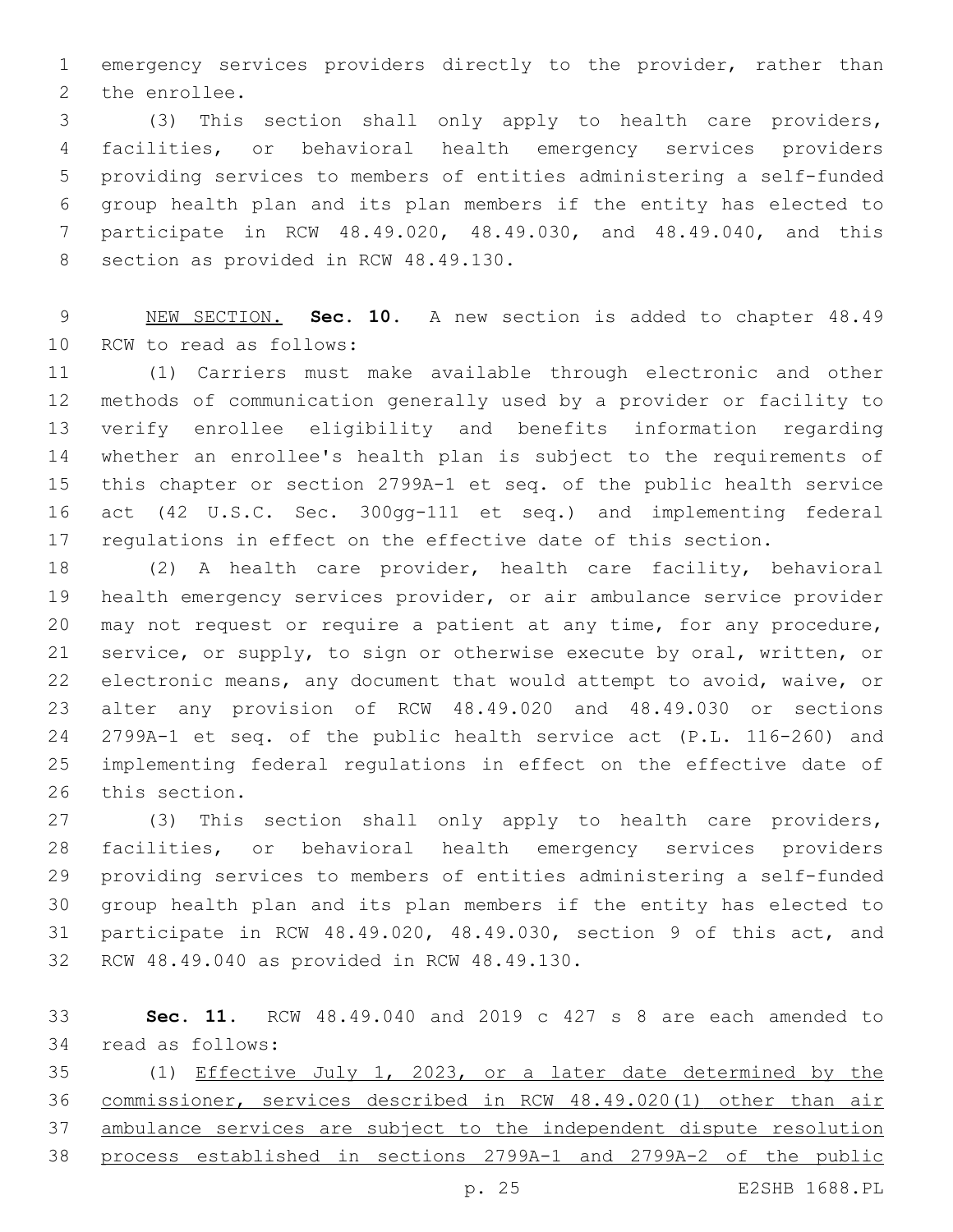emergency services providers directly to the provider, rather than 2 the enrollee.

 (3) This section shall only apply to health care providers, facilities, or behavioral health emergency services providers providing services to members of entities administering a self-funded group health plan and its plan members if the entity has elected to participate in RCW 48.49.020, 48.49.030, and 48.49.040, and this 8 section as provided in RCW 48.49.130.

 NEW SECTION. **Sec. 10.** A new section is added to chapter 48.49 10 RCW to read as follows:

 (1) Carriers must make available through electronic and other methods of communication generally used by a provider or facility to verify enrollee eligibility and benefits information regarding whether an enrollee's health plan is subject to the requirements of this chapter or section 2799A-1 et seq. of the public health service act (42 U.S.C. Sec. 300gg-111 et seq.) and implementing federal regulations in effect on the effective date of this section.

 (2) A health care provider, health care facility, behavioral health emergency services provider, or air ambulance service provider may not request or require a patient at any time, for any procedure, service, or supply, to sign or otherwise execute by oral, written, or electronic means, any document that would attempt to avoid, waive, or alter any provision of RCW 48.49.020 and 48.49.030 or sections 2799A-1 et seq. of the public health service act (P.L. 116-260) and implementing federal regulations in effect on the effective date of 26 this section.

 (3) This section shall only apply to health care providers, facilities, or behavioral health emergency services providers providing services to members of entities administering a self-funded group health plan and its plan members if the entity has elected to participate in RCW 48.49.020, 48.49.030, section 9 of this act, and 32 RCW 48.49.040 as provided in RCW 48.49.130.

 **Sec. 11.** RCW 48.49.040 and 2019 c 427 s 8 are each amended to 34 read as follows:

 (1) Effective July 1, 2023, or a later date determined by the commissioner, services described in RCW 48.49.020(1) other than air ambulance services are subject to the independent dispute resolution process established in sections 2799A-1 and 2799A-2 of the public

p. 25 E2SHB 1688.PL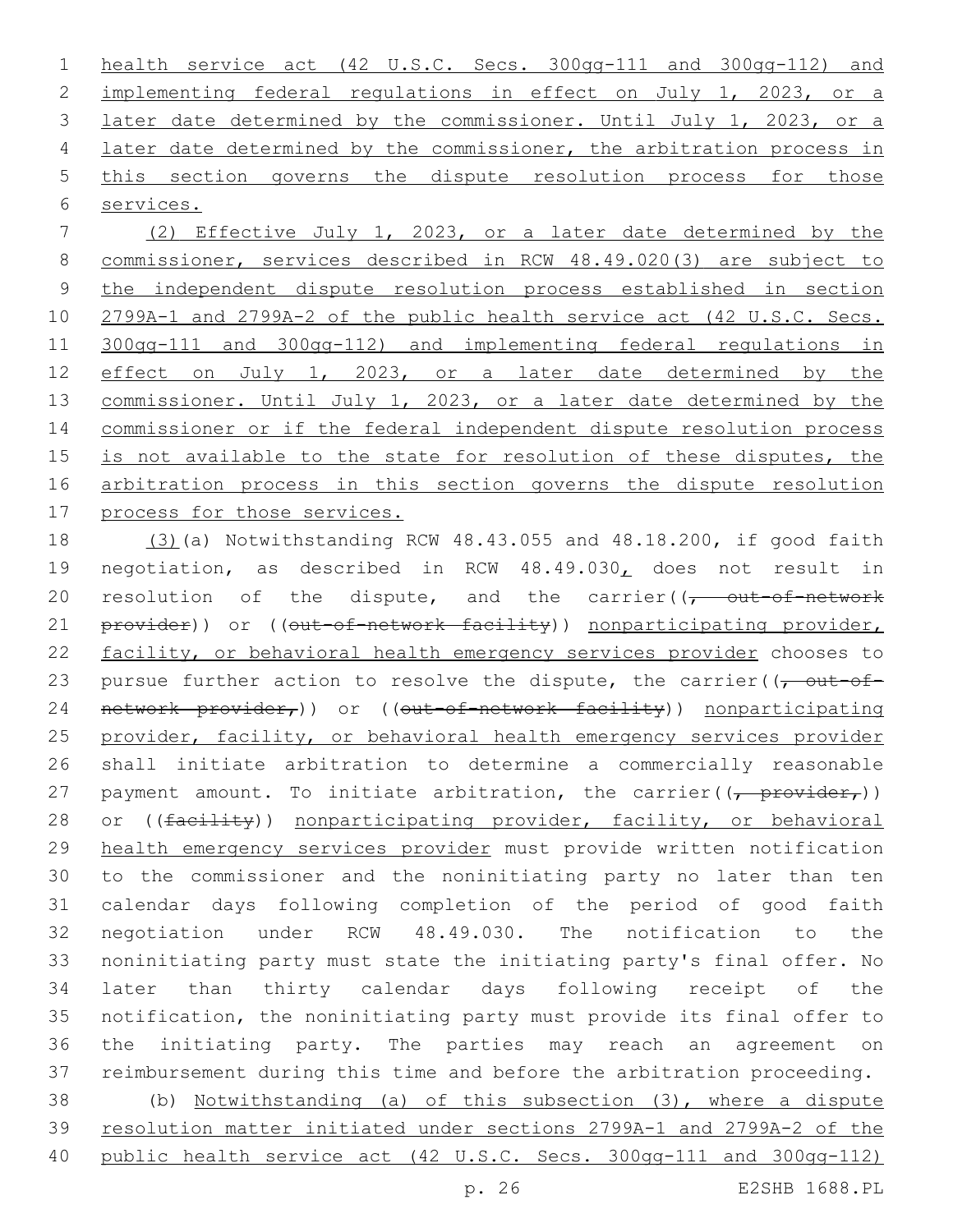health service act (42 U.S.C. Secs. 300gg-111 and 300gg-112) and implementing federal regulations in effect on July 1, 2023, or a 3 later date determined by the commissioner. Until July 1, 2023, or a later date determined by the commissioner, the arbitration process in this section governs the dispute resolution process for those services.

 (2) Effective July 1, 2023, or a later date determined by the commissioner, services described in RCW 48.49.020(3) are subject to the independent dispute resolution process established in section 2799A-1 and 2799A-2 of the public health service act (42 U.S.C. Secs. 300gg-111 and 300gg-112) and implementing federal regulations in effect on July 1, 2023, or a later date determined by the 13 commissioner. Until July 1, 2023, or a later date determined by the commissioner or if the federal independent dispute resolution process is not available to the state for resolution of these disputes, the arbitration process in this section governs the dispute resolution process for those services.

 (3)(a) Notwithstanding RCW 48.43.055 and 48.18.200, if good faith negotiation, as described in RCW 48.49.030, does not result in 20 resolution of the dispute, and the carrier( $\sqrt{t}$  out-of-network 21 provider)) or ((out-of-network facility)) nonparticipating provider, facility, or behavioral health emergency services provider chooses to 23 pursue further action to resolve the dispute, the carrier( $\sqrt{\frac{1}{1-\omega}}$ 24 network provider,)) or ((out-of-network facility)) nonparticipating 25 provider, facility, or behavioral health emergency services provider shall initiate arbitration to determine a commercially reasonable 27 payment amount. To initiate arbitration, the carrier( $\frac{1}{(r - \text{provider}_r)}$ ) 28 or ((facility)) nonparticipating provider, facility, or behavioral health emergency services provider must provide written notification to the commissioner and the noninitiating party no later than ten calendar days following completion of the period of good faith negotiation under RCW 48.49.030. The notification to the noninitiating party must state the initiating party's final offer. No later than thirty calendar days following receipt of the notification, the noninitiating party must provide its final offer to the initiating party. The parties may reach an agreement on reimbursement during this time and before the arbitration proceeding.

 (b) Notwithstanding (a) of this subsection (3), where a dispute resolution matter initiated under sections 2799A-1 and 2799A-2 of the 40 public health service act (42 U.S.C. Secs. 300gg-111 and 300gg-112)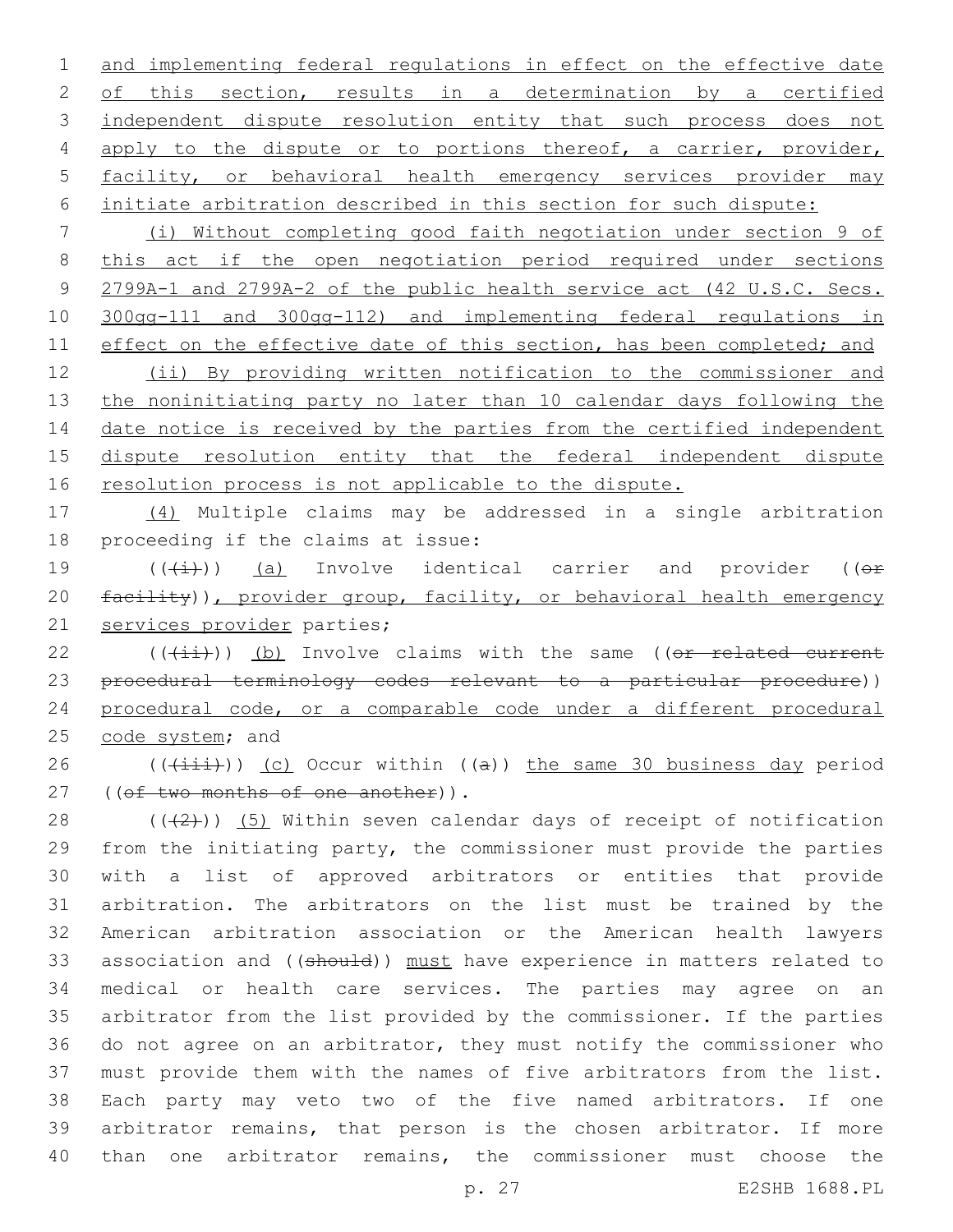and implementing federal regulations in effect on the effective date 2 of this section, results in a determination by a certified 3 independent dispute resolution entity that such process does not 4 apply to the dispute or to portions thereof, a carrier, provider, facility, or behavioral health emergency services provider may initiate arbitration described in this section for such dispute:

 (i) Without completing good faith negotiation under section 9 of this act if the open negotiation period required under sections 2799A-1 and 2799A-2 of the public health service act (42 U.S.C. Secs. 300gg-111 and 300gg-112) and implementing federal regulations in 11 effect on the effective date of this section, has been completed; and (ii) By providing written notification to the commissioner and

 the noninitiating party no later than 10 calendar days following the 14 date notice is received by the parties from the certified independent dispute resolution entity that the federal independent dispute 16 resolution process is not applicable to the dispute.

 (4) Multiple claims may be addressed in a single arbitration 18 proceeding if the claims at issue:

19  $((\text{(+i)})$  (a) Involve identical carrier and provider (( $\Theta$ f) 20 facility)), provider group, facility, or behavioral health emergency 21 services provider parties;

 ( $(\overrightarrow{\pm i})$ ) (b) Involve claims with the same ((or related current procedural terminology codes relevant to a particular procedure)) procedural code, or a comparable code under a different procedural 25 code system; and

26 ( $(\overrightarrow{1}i)$ ) (c) Occur within ((a)) the same 30 business day period 27 ((of two months of one another)).

 $((+2+))$  (5) Within seven calendar days of receipt of notification from the initiating party, the commissioner must provide the parties with a list of approved arbitrators or entities that provide arbitration. The arbitrators on the list must be trained by the American arbitration association or the American health lawyers 33 association and ((should)) must have experience in matters related to medical or health care services. The parties may agree on an arbitrator from the list provided by the commissioner. If the parties do not agree on an arbitrator, they must notify the commissioner who must provide them with the names of five arbitrators from the list. Each party may veto two of the five named arbitrators. If one arbitrator remains, that person is the chosen arbitrator. If more than one arbitrator remains, the commissioner must choose the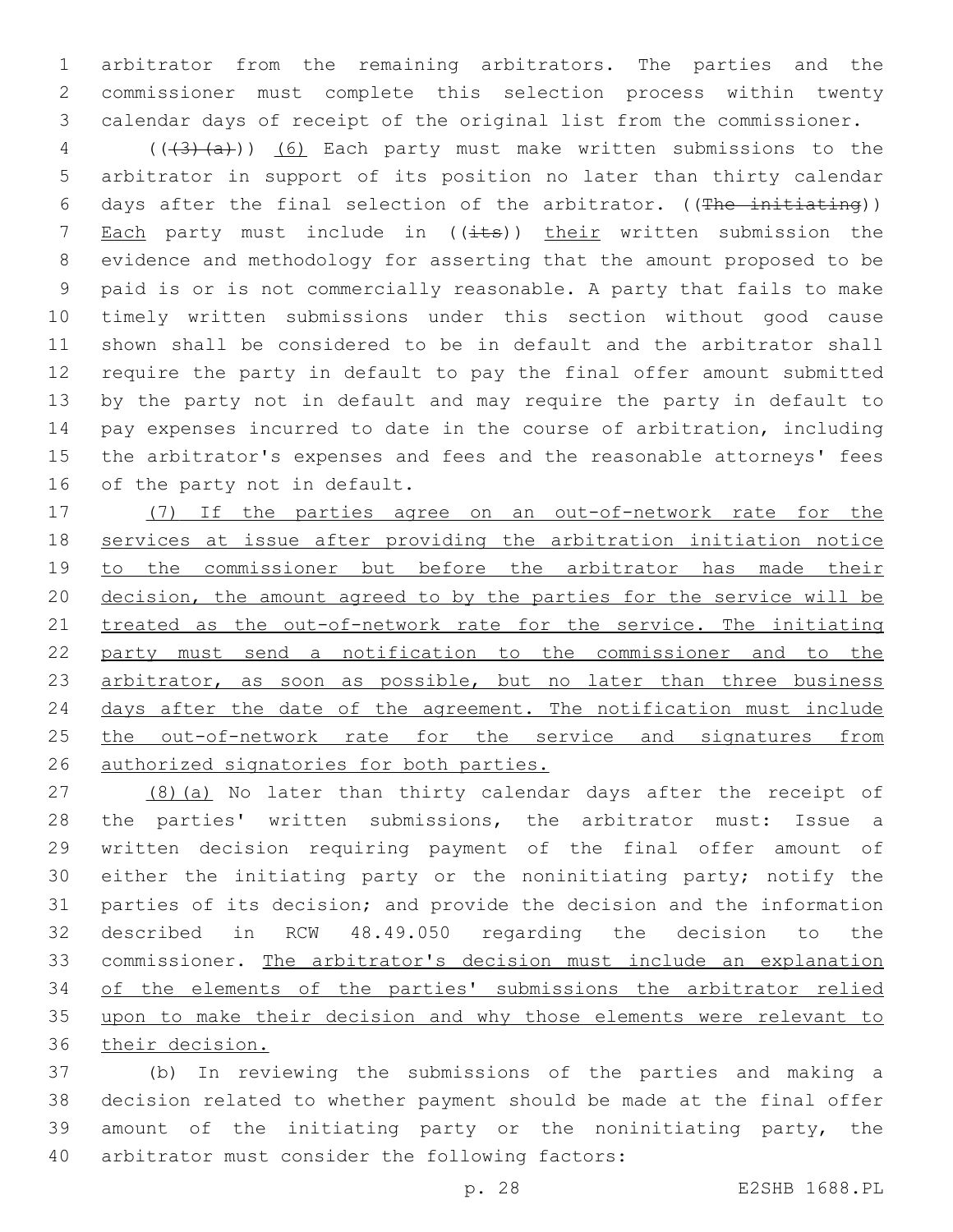arbitrator from the remaining arbitrators. The parties and the commissioner must complete this selection process within twenty calendar days of receipt of the original list from the commissioner.

4 (((43)(a))) (6) Each party must make written submissions to the arbitrator in support of its position no later than thirty calendar 6 days after the final selection of the arbitrator.  $($  (The initiating)) 7 Each party must include in  $((i$ ts)) their written submission the evidence and methodology for asserting that the amount proposed to be paid is or is not commercially reasonable. A party that fails to make timely written submissions under this section without good cause shown shall be considered to be in default and the arbitrator shall require the party in default to pay the final offer amount submitted by the party not in default and may require the party in default to pay expenses incurred to date in the course of arbitration, including the arbitrator's expenses and fees and the reasonable attorneys' fees 16 of the party not in default.

 (7) If the parties agree on an out-of-network rate for the services at issue after providing the arbitration initiation notice 19 to the commissioner but before the arbitrator has made their decision, the amount agreed to by the parties for the service will be treated as the out-of-network rate for the service. The initiating party must send a notification to the commissioner and to the 23 arbitrator, as soon as possible, but no later than three business 24 days after the date of the agreement. The notification must include 25 the out-of-network rate for the service and signatures from authorized signatories for both parties.

27 (8)(a) No later than thirty calendar days after the receipt of the parties' written submissions, the arbitrator must: Issue a written decision requiring payment of the final offer amount of either the initiating party or the noninitiating party; notify the parties of its decision; and provide the decision and the information described in RCW 48.49.050 regarding the decision to the commissioner. The arbitrator's decision must include an explanation of the elements of the parties' submissions the arbitrator relied upon to make their decision and why those elements were relevant to their decision.

 (b) In reviewing the submissions of the parties and making a decision related to whether payment should be made at the final offer amount of the initiating party or the noninitiating party, the 40 arbitrator must consider the following factors: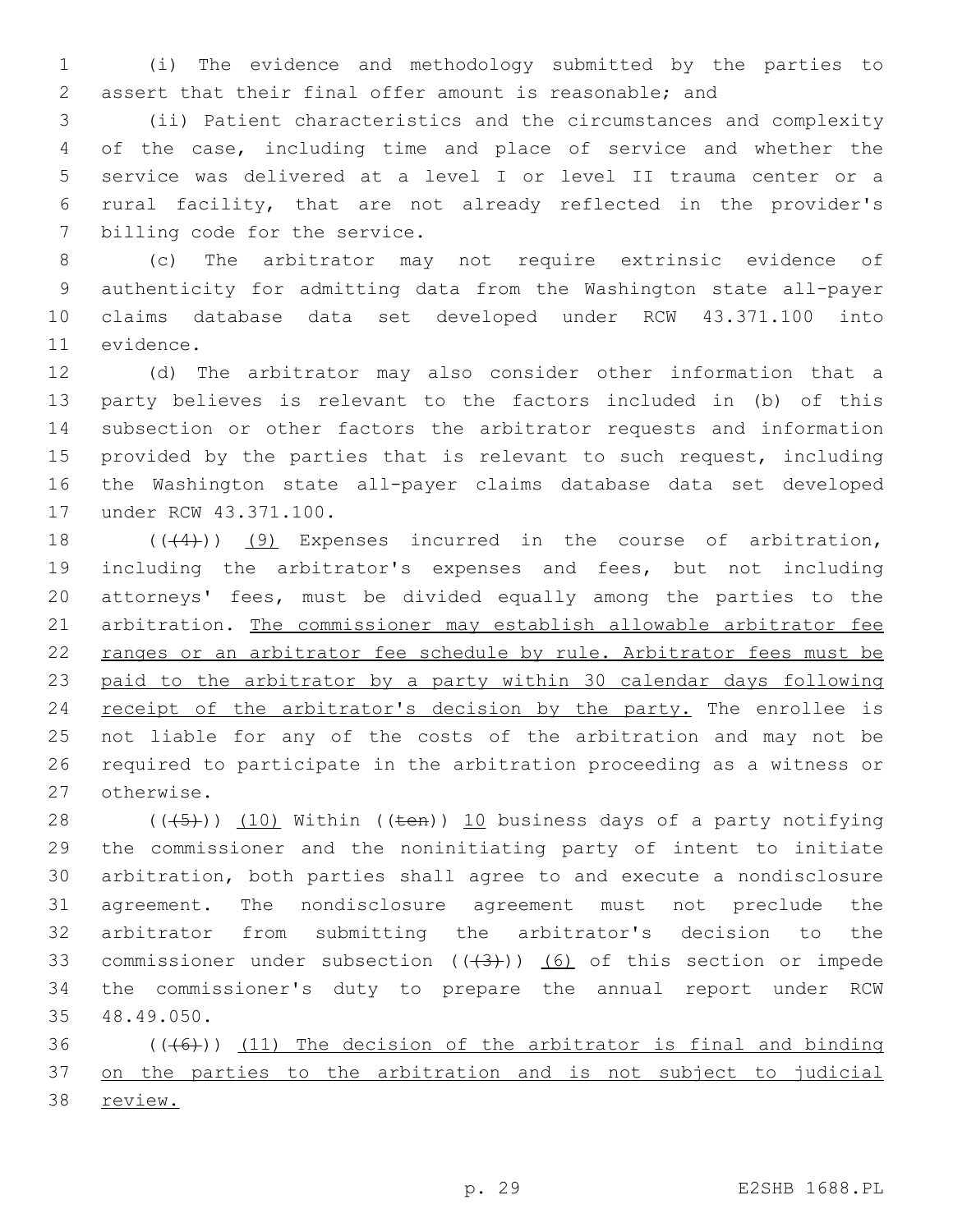(i) The evidence and methodology submitted by the parties to assert that their final offer amount is reasonable; and

 (ii) Patient characteristics and the circumstances and complexity of the case, including time and place of service and whether the service was delivered at a level I or level II trauma center or a rural facility, that are not already reflected in the provider's 7 billing code for the service.

 (c) The arbitrator may not require extrinsic evidence of authenticity for admitting data from the Washington state all-payer claims database data set developed under RCW 43.371.100 into 11 evidence.

 (d) The arbitrator may also consider other information that a party believes is relevant to the factors included in (b) of this subsection or other factors the arbitrator requests and information 15 provided by the parties that is relevant to such request, including the Washington state all-payer claims database data set developed 17 under RCW 43.371.100.

18 (((4))) (9) Expenses incurred in the course of arbitration, including the arbitrator's expenses and fees, but not including attorneys' fees, must be divided equally among the parties to the arbitration. The commissioner may establish allowable arbitrator fee ranges or an arbitrator fee schedule by rule. Arbitrator fees must be paid to the arbitrator by a party within 30 calendar days following 24 receipt of the arbitrator's decision by the party. The enrollee is not liable for any of the costs of the arbitration and may not be required to participate in the arbitration proceeding as a witness or 27 otherwise.

 $((+5+))$   $(10)$  Within  $((+6+))$   $10$  business days of a party notifying the commissioner and the noninitiating party of intent to initiate arbitration, both parties shall agree to and execute a nondisclosure agreement. The nondisclosure agreement must not preclude the arbitrator from submitting the arbitrator's decision to the 33 commissioner under subsection  $((+3))$   $(6)$  of this section or impede the commissioner's duty to prepare the annual report under RCW 48.49.050.35

36  $((+6))$  (11) The decision of the arbitrator is final and binding on the parties to the arbitration and is not subject to judicial review.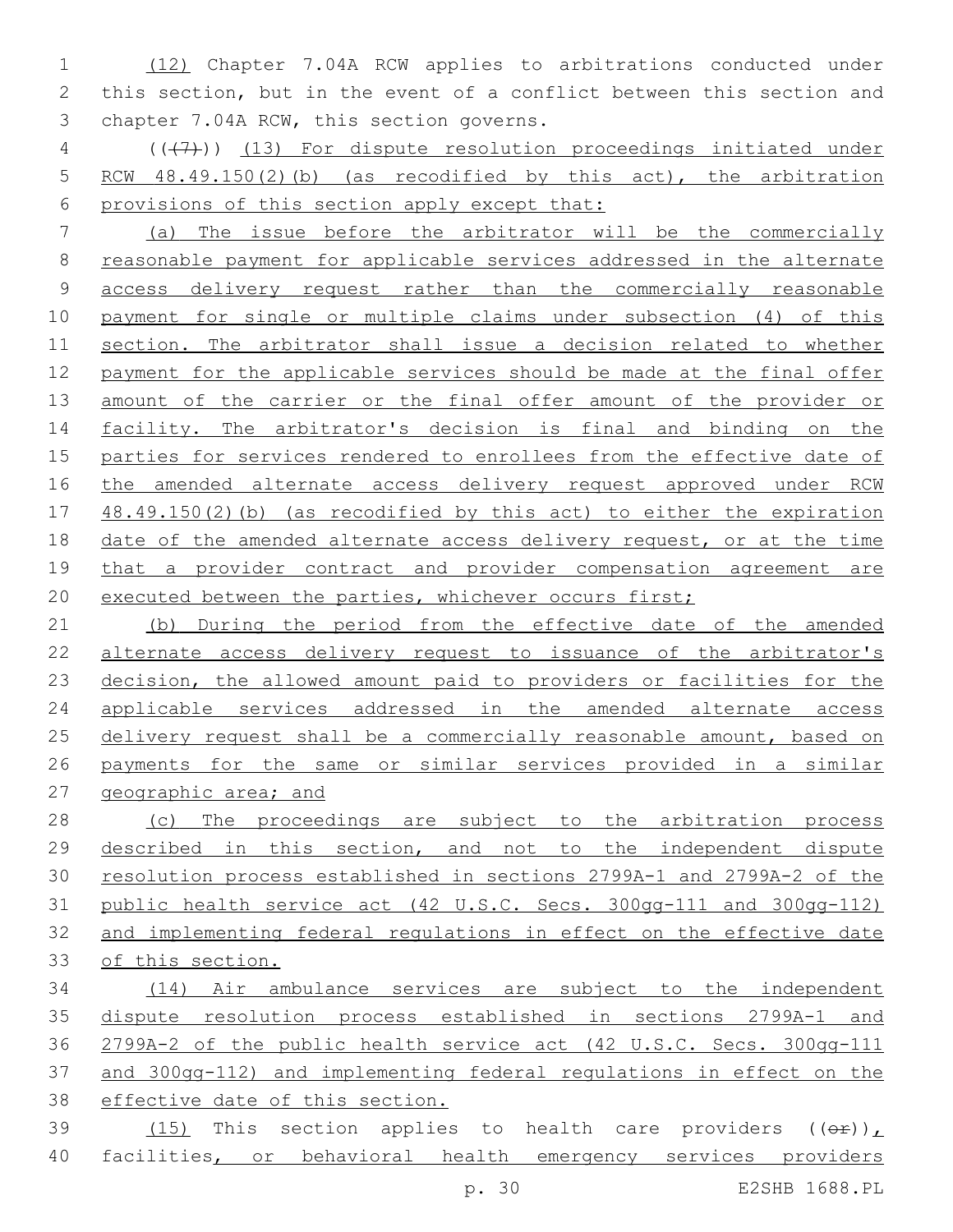(12) Chapter 7.04A RCW applies to arbitrations conducted under this section, but in the event of a conflict between this section and 3 chapter 7.04A RCW, this section governs.

4 (( $(7)$ )) (13) For dispute resolution proceedings initiated under RCW 48.49.150(2)(b) (as recodified by this act), the arbitration provisions of this section apply except that:

 (a) The issue before the arbitrator will be the commercially reasonable payment for applicable services addressed in the alternate access delivery request rather than the commercially reasonable payment for single or multiple claims under subsection (4) of this section. The arbitrator shall issue a decision related to whether payment for the applicable services should be made at the final offer 13 amount of the carrier or the final offer amount of the provider or facility. The arbitrator's decision is final and binding on the parties for services rendered to enrollees from the effective date of the amended alternate access delivery request approved under RCW 48.49.150(2)(b) (as recodified by this act) to either the expiration date of the amended alternate access delivery request, or at the time that a provider contract and provider compensation agreement are 20 executed between the parties, whichever occurs first;

 (b) During the period from the effective date of the amended alternate access delivery request to issuance of the arbitrator's decision, the allowed amount paid to providers or facilities for the applicable services addressed in the amended alternate access 25 delivery request shall be a commercially reasonable amount, based on payments for the same or similar services provided in a similar geographic area; and

28 (c) The proceedings are subject to the arbitration process described in this section, and not to the independent dispute resolution process established in sections 2799A-1 and 2799A-2 of the public health service act (42 U.S.C. Secs. 300gg-111 and 300gg-112) and implementing federal regulations in effect on the effective date 33 of this section.

 (14) Air ambulance services are subject to the independent dispute resolution process established in sections 2799A-1 and 2799A-2 of the public health service act (42 U.S.C. Secs. 300gg-111 and 300gg-112) and implementing federal regulations in effect on the effective date of this section.  $(15)$  This section applies to health care providers  $((\theta \cdot \mathbf{r}))$ 

40 facilities, or behavioral health emergency services providers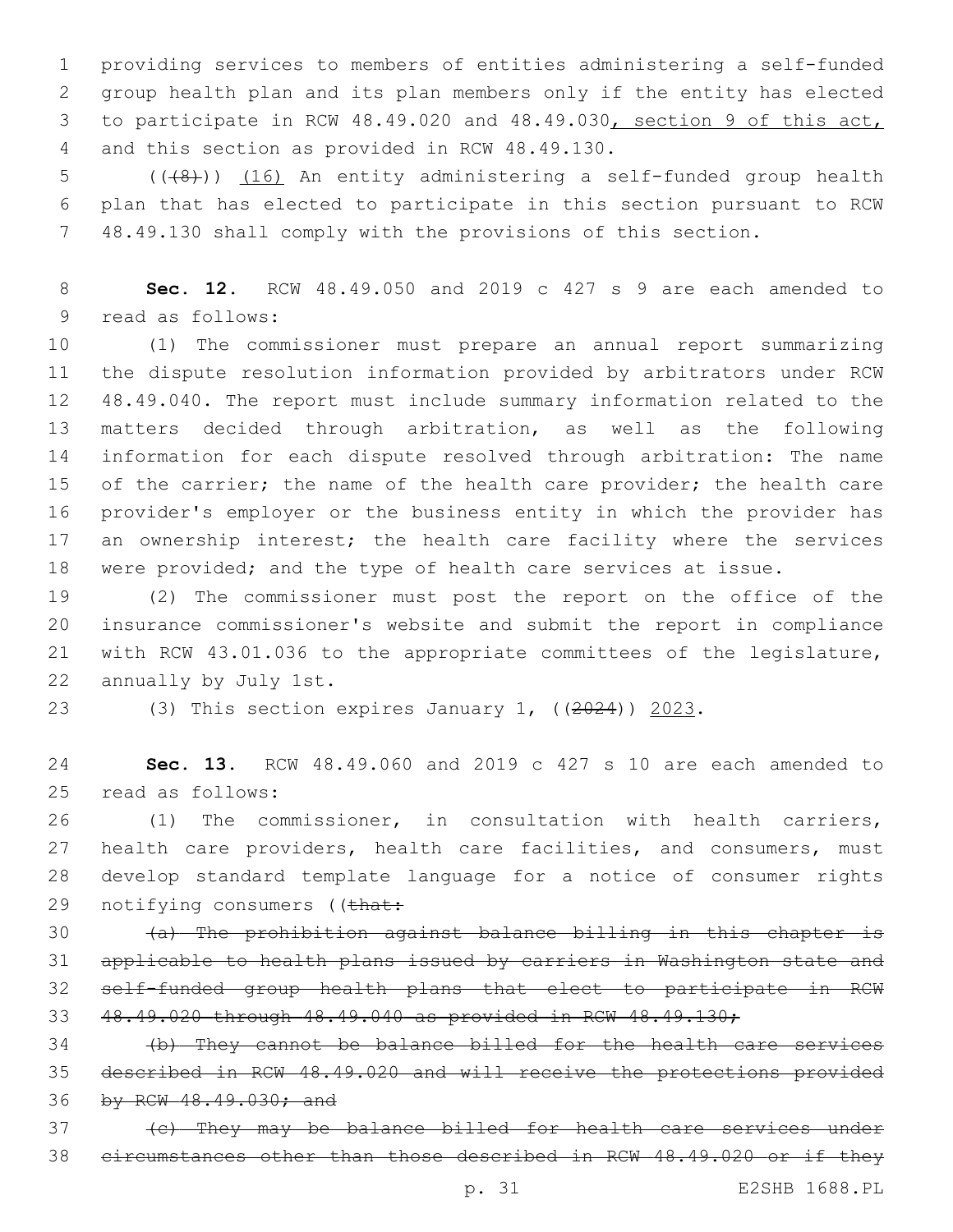providing services to members of entities administering a self-funded group health plan and its plan members only if the entity has elected to participate in RCW 48.49.020 and 48.49.030, section 9 of this act, and this section as provided in RCW 48.49.130.4

5 (( $(48)$ )) (16) An entity administering a self-funded group health plan that has elected to participate in this section pursuant to RCW 48.49.130 shall comply with the provisions of this section.

 **Sec. 12.** RCW 48.49.050 and 2019 c 427 s 9 are each amended to 9 read as follows:

 (1) The commissioner must prepare an annual report summarizing the dispute resolution information provided by arbitrators under RCW 48.49.040. The report must include summary information related to the matters decided through arbitration, as well as the following information for each dispute resolved through arbitration: The name 15 of the carrier; the name of the health care provider; the health care provider's employer or the business entity in which the provider has 17 an ownership interest; the health care facility where the services were provided; and the type of health care services at issue.

 (2) The commissioner must post the report on the office of the insurance commissioner's website and submit the report in compliance with RCW 43.01.036 to the appropriate committees of the legislature, 22 annually by July 1st.

(3) This section expires January 1, ((2024)) 2023.

 **Sec. 13.** RCW 48.49.060 and 2019 c 427 s 10 are each amended to 25 read as follows:

 (1) The commissioner, in consultation with health carriers, health care providers, health care facilities, and consumers, must develop standard template language for a notice of consumer rights 29 notifying consumers ((that:

 (a) The prohibition against balance billing in this chapter is applicable to health plans issued by carriers in Washington state and self-funded group health plans that elect to participate in RCW 48.49.020 through 48.49.040 as provided in RCW 48.49.130;

 (b) They cannot be balance billed for the health care services described in RCW 48.49.020 and will receive the protections provided 36 by RCW 48.49.030; and

 (c) They may be balance billed for health care services under circumstances other than those described in RCW 48.49.020 or if they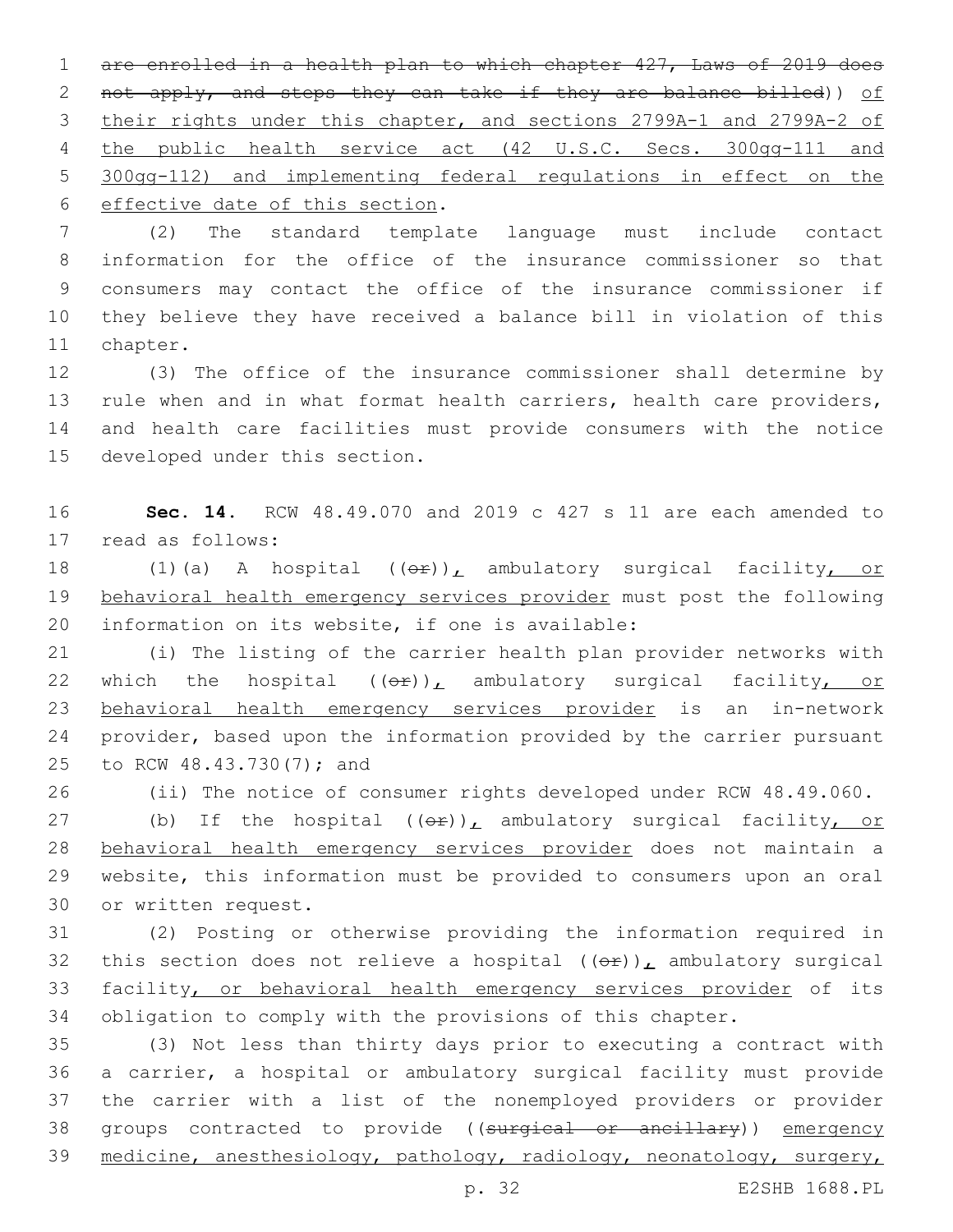1 are enrolled in a health plan to which chapter 427, Laws of 2019 does 2 not apply, and steps they can take if they are balance billed)) of 3 their rights under this chapter, and sections 2799A-1 and 2799A-2 of 4 the public health service act (42 U.S.C. Secs. 300gg-111 and 5 300gg-112) and implementing federal regulations in effect on the 6 effective date of this section.

 (2) The standard template language must include contact information for the office of the insurance commissioner so that consumers may contact the office of the insurance commissioner if they believe they have received a balance bill in violation of this 11 chapter.

 (3) The office of the insurance commissioner shall determine by rule when and in what format health carriers, health care providers, and health care facilities must provide consumers with the notice 15 developed under this section.

16 **Sec. 14.** RCW 48.49.070 and 2019 c 427 s 11 are each amended to 17 read as follows:

18 (1)(a) A hospital  $((\theta \cdot \hat{r}))_L$  ambulatory surgical facility, or 19 behavioral health emergency services provider must post the following 20 information on its website, if one is available:

21 (i) The listing of the carrier health plan provider networks with 22 which the hospital  $((\theta \hat{r}))_L$  ambulatory surgical facility, or 23 behavioral health emergency services provider is an in-network 24 provider, based upon the information provided by the carrier pursuant 25 to RCW 48.43.730(7); and

26 (ii) The notice of consumer rights developed under RCW 48.49.060.

27 (b) If the hospital  $((e^E))^L$  ambulatory surgical facility, or 28 behavioral health emergency services provider does not maintain a 29 website, this information must be provided to consumers upon an oral 30 or written request.

 (2) Posting or otherwise providing the information required in 32 this section does not relieve a hospital  $((\theta \hat{r}))_L$  ambulatory surgical facility, or behavioral health emergency services provider of its obligation to comply with the provisions of this chapter.

35 (3) Not less than thirty days prior to executing a contract with 36 a carrier, a hospital or ambulatory surgical facility must provide 37 the carrier with a list of the nonemployed providers or provider 38 groups contracted to provide ((surgical or ancillary)) emergency 39 medicine, anesthesiology, pathology, radiology, neonatology, surgery,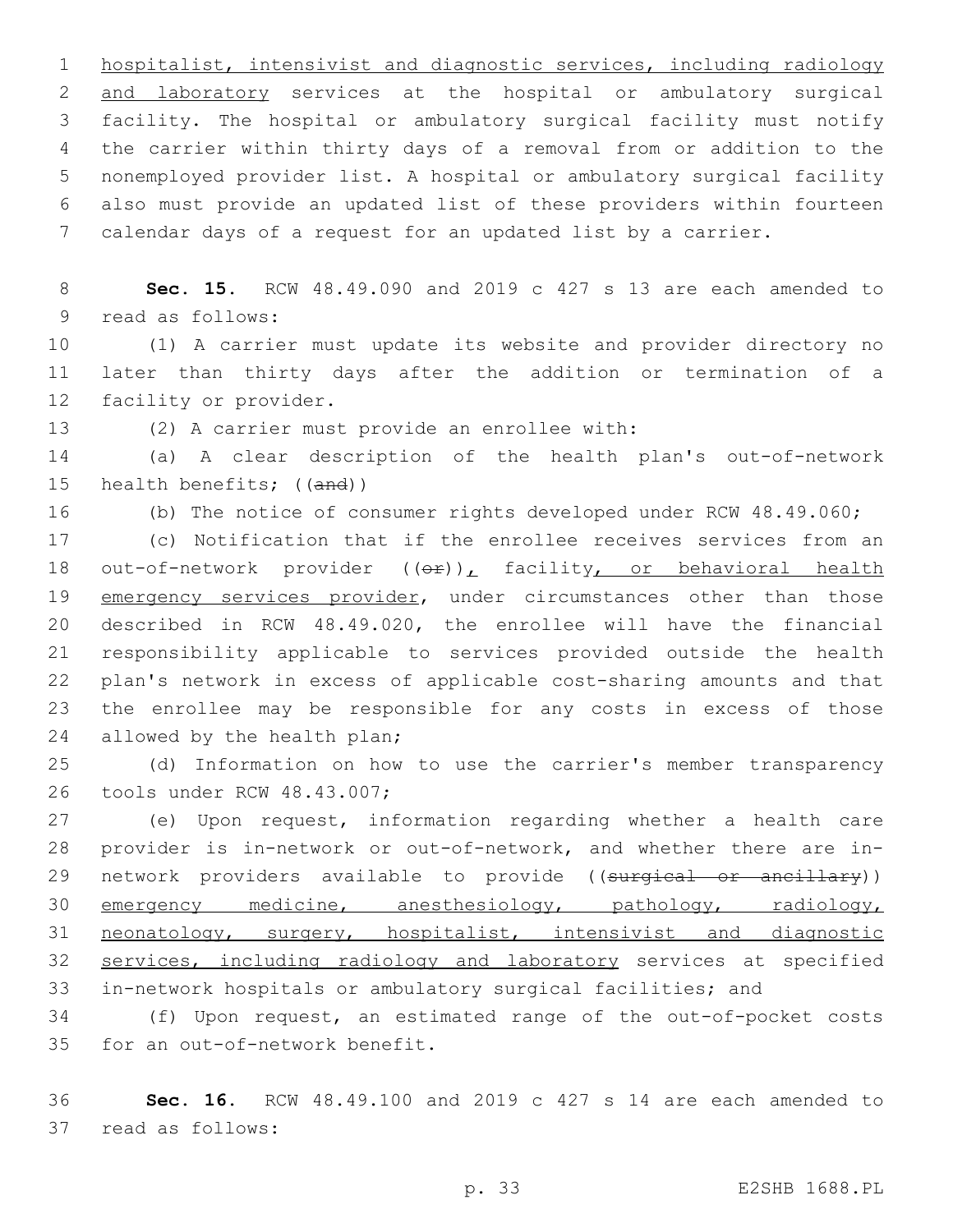hospitalist, intensivist and diagnostic services, including radiology and laboratory services at the hospital or ambulatory surgical facility. The hospital or ambulatory surgical facility must notify the carrier within thirty days of a removal from or addition to the nonemployed provider list. A hospital or ambulatory surgical facility also must provide an updated list of these providers within fourteen calendar days of a request for an updated list by a carrier.

 **Sec. 15.** RCW 48.49.090 and 2019 c 427 s 13 are each amended to 9 read as follows:

 (1) A carrier must update its website and provider directory no later than thirty days after the addition or termination of a 12 facility or provider.

13 (2) A carrier must provide an enrollee with:

 (a) A clear description of the health plan's out-of-network 15 health benefits; ((and))

(b) The notice of consumer rights developed under RCW 48.49.060;

 (c) Notification that if the enrollee receives services from an 18 out-of-network provider  $((e^x))_t$  facility, or behavioral health 19 emergency services provider, under circumstances other than those described in RCW 48.49.020, the enrollee will have the financial responsibility applicable to services provided outside the health plan's network in excess of applicable cost-sharing amounts and that the enrollee may be responsible for any costs in excess of those 24 allowed by the health plan;

 (d) Information on how to use the carrier's member transparency 26 tools under RCW 48.43.007;

 (e) Upon request, information regarding whether a health care provider is in-network or out-of-network, and whether there are in-29 network providers available to provide ((surgical or ancillary)) emergency medicine, anesthesiology, pathology, radiology, neonatology, surgery, hospitalist, intensivist and diagnostic services, including radiology and laboratory services at specified in-network hospitals or ambulatory surgical facilities; and

 (f) Upon request, an estimated range of the out-of-pocket costs 35 for an out-of-network benefit.

 **Sec. 16.** RCW 48.49.100 and 2019 c 427 s 14 are each amended to 37 read as follows: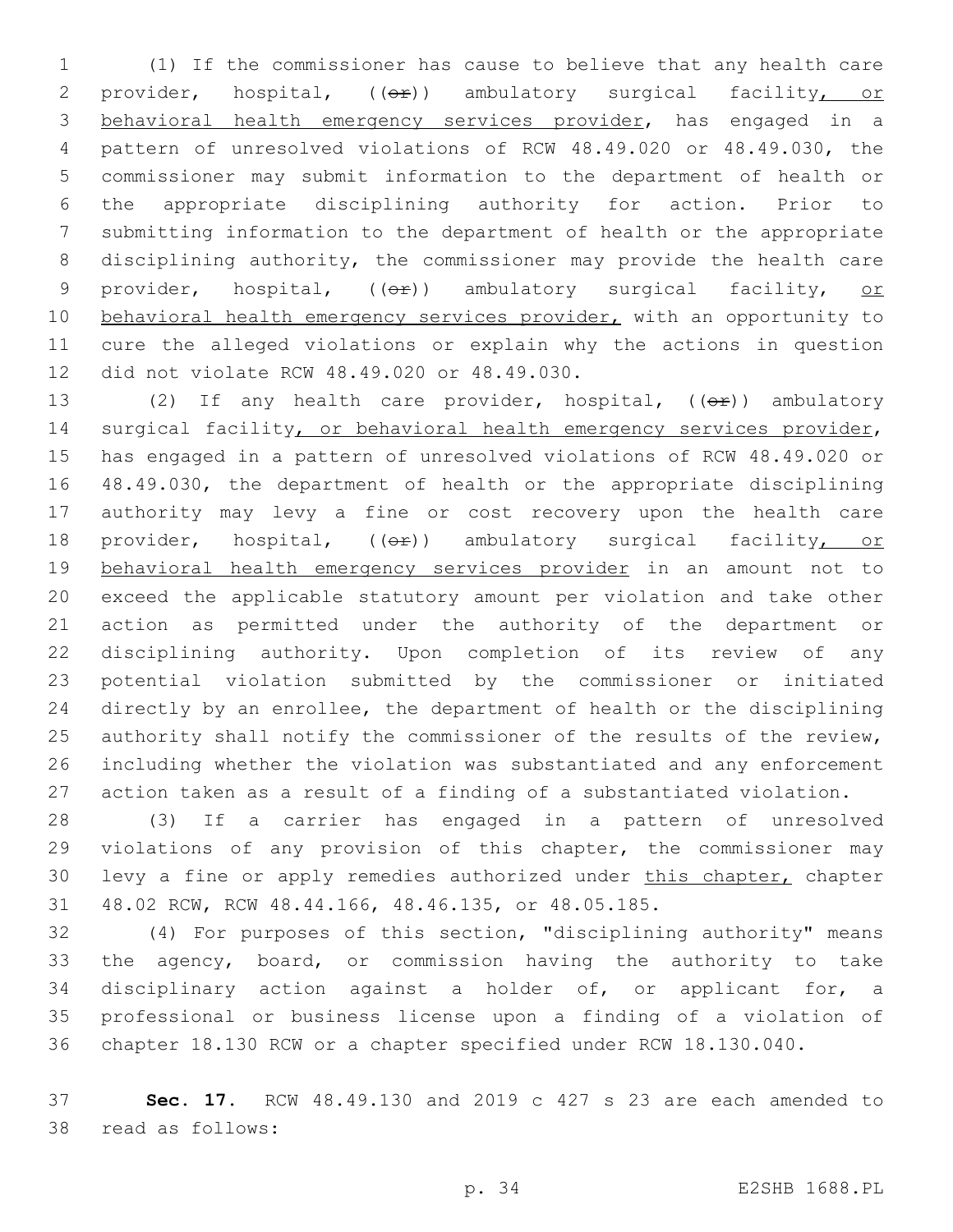(1) If the commissioner has cause to believe that any health care 2 provider, hospital, ((OP)) ambulatory surgical facility, or behavioral health emergency services provider, has engaged in a pattern of unresolved violations of RCW 48.49.020 or 48.49.030, the commissioner may submit information to the department of health or the appropriate disciplining authority for action. Prior to submitting information to the department of health or the appropriate disciplining authority, the commissioner may provide the health care 9 provider, hospital, ((OP)) ambulatory surgical facility, or 10 behavioral health emergency services provider, with an opportunity to cure the alleged violations or explain why the actions in question 12 did not violate RCW 48.49.020 or 48.49.030.

13 (2) If any health care provider, hospital, ((or)) ambulatory 14 surgical facility, or behavioral health emergency services provider, has engaged in a pattern of unresolved violations of RCW 48.49.020 or 48.49.030, the department of health or the appropriate disciplining authority may levy a fine or cost recovery upon the health care 18 provider, hospital, (( $\Theta$ )) ambulatory surgical facility, or behavioral health emergency services provider in an amount not to exceed the applicable statutory amount per violation and take other action as permitted under the authority of the department or disciplining authority. Upon completion of its review of any potential violation submitted by the commissioner or initiated directly by an enrollee, the department of health or the disciplining 25 authority shall notify the commissioner of the results of the review, including whether the violation was substantiated and any enforcement action taken as a result of a finding of a substantiated violation.

 (3) If a carrier has engaged in a pattern of unresolved violations of any provision of this chapter, the commissioner may levy a fine or apply remedies authorized under this chapter, chapter 48.02 RCW, RCW 48.44.166, 48.46.135, or 48.05.185.

 (4) For purposes of this section, "disciplining authority" means the agency, board, or commission having the authority to take disciplinary action against a holder of, or applicant for, a professional or business license upon a finding of a violation of chapter 18.130 RCW or a chapter specified under RCW 18.130.040.

 **Sec. 17.** RCW 48.49.130 and 2019 c 427 s 23 are each amended to 38 read as follows: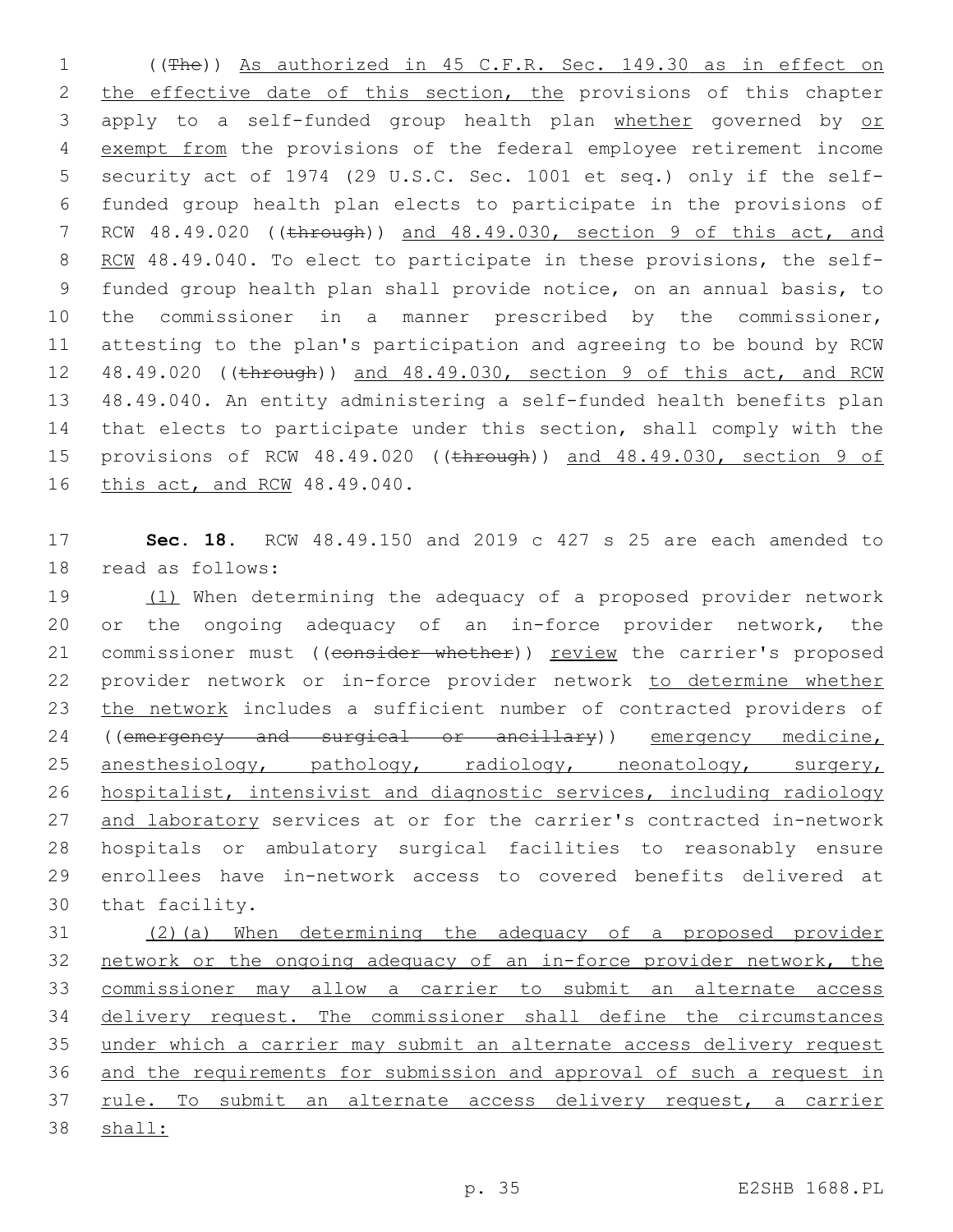((The)) As authorized in 45 C.F.R. Sec. 149.30 as in effect on 2 the effective date of this section, the provisions of this chapter apply to a self-funded group health plan whether governed by or exempt from the provisions of the federal employee retirement income security act of 1974 (29 U.S.C. Sec. 1001 et seq.) only if the self- funded group health plan elects to participate in the provisions of 7 RCW 48.49.020 ((through)) and 48.49.030, section 9 of this act, and 8 RCM 48.49.040. To elect to participate in these provisions, the self- funded group health plan shall provide notice, on an annual basis, to the commissioner in a manner prescribed by the commissioner, attesting to the plan's participation and agreeing to be bound by RCW 48.49.020 ((through)) and 48.49.030, section 9 of this act, and RCW 48.49.040. An entity administering a self-funded health benefits plan that elects to participate under this section, shall comply with the 15 provisions of RCW 48.49.020 ((through)) and 48.49.030, section 9 of 16 this act, and RCW 48.49.040.

 **Sec. 18.** RCW 48.49.150 and 2019 c 427 s 25 are each amended to 18 read as follows:

 (1) When determining the adequacy of a proposed provider network or the ongoing adequacy of an in-force provider network, the 21 commissioner must ((consider whether)) review the carrier's proposed provider network or in-force provider network to determine whether 23 the network includes a sufficient number of contracted providers of 24 ((emergency and surgical or ancillary)) emergency medicine, anesthesiology, pathology, radiology, neonatology, surgery, hospitalist, intensivist and diagnostic services, including radiology 27 and laboratory services at or for the carrier's contracted in-network hospitals or ambulatory surgical facilities to reasonably ensure enrollees have in-network access to covered benefits delivered at 30 that facility.

 (2)(a) When determining the adequacy of a proposed provider network or the ongoing adequacy of an in-force provider network, the commissioner may allow a carrier to submit an alternate access delivery request. The commissioner shall define the circumstances under which a carrier may submit an alternate access delivery request and the requirements for submission and approval of such a request in 37 rule. To submit an alternate access delivery request, a carrier shall: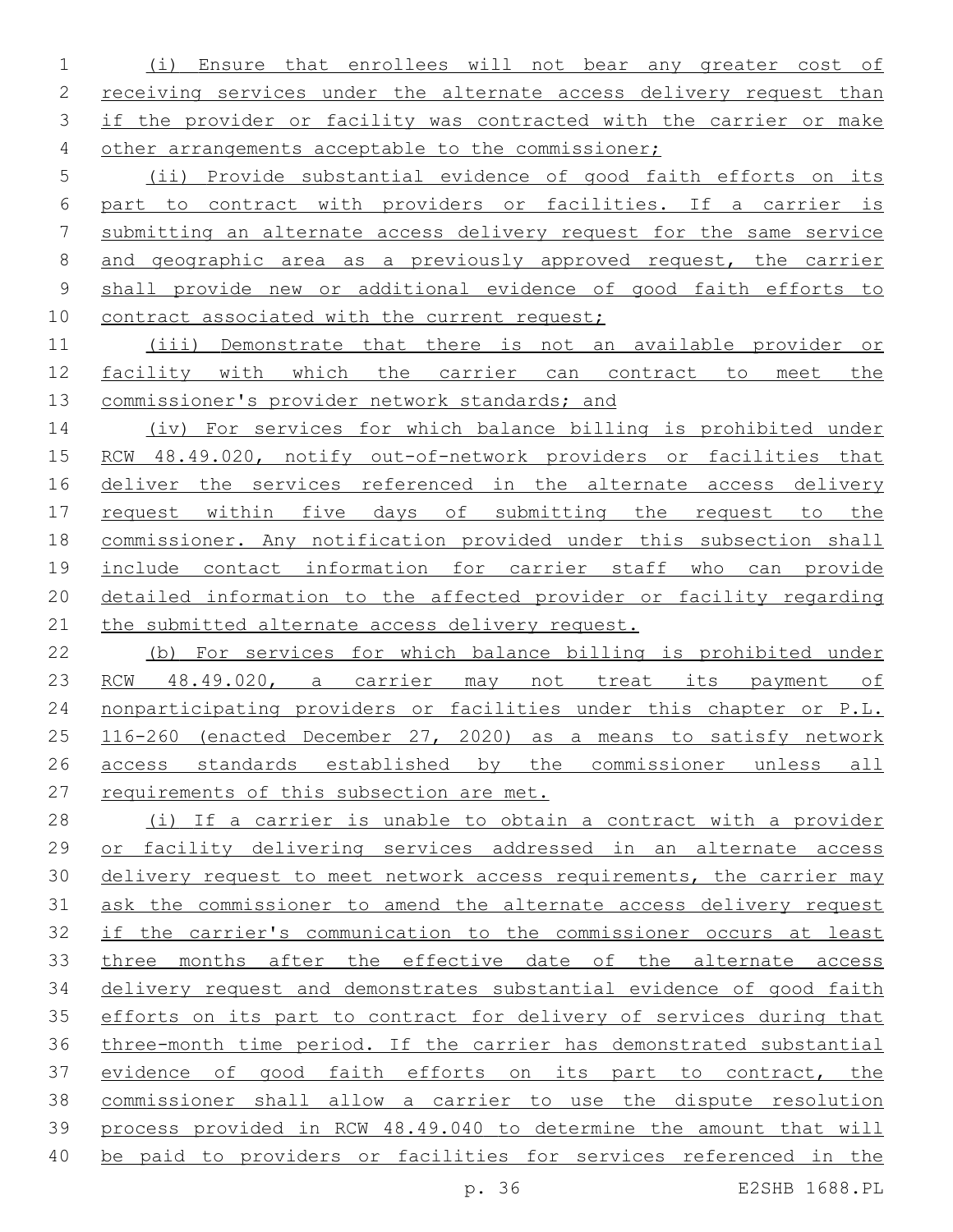(i) Ensure that enrollees will not bear any greater cost of receiving services under the alternate access delivery request than 3 if the provider or facility was contracted with the carrier or make 4 other arrangements acceptable to the commissioner;

 (ii) Provide substantial evidence of good faith efforts on its part to contract with providers or facilities. If a carrier is submitting an alternate access delivery request for the same service and geographic area as a previously approved request, the carrier shall provide new or additional evidence of good faith efforts to 10 contract associated with the current request;

 (iii) Demonstrate that there is not an available provider or facility with which the carrier can contract to meet the commissioner's provider network standards; and

 (iv) For services for which balance billing is prohibited under RCW 48.49.020, notify out-of-network providers or facilities that 16 deliver the services referenced in the alternate access delivery request within five days of submitting the request to the commissioner. Any notification provided under this subsection shall include contact information for carrier staff who can provide detailed information to the affected provider or facility regarding 21 the submitted alternate access delivery request.

 (b) For services for which balance billing is prohibited under 23 RCW 48.49.020, a carrier may not treat its payment of nonparticipating providers or facilities under this chapter or P.L. 116-260 (enacted December 27, 2020) as a means to satisfy network 26 access standards established by the commissioner unless all 27 requirements of this subsection are met.

 (i) If a carrier is unable to obtain a contract with a provider or facility delivering services addressed in an alternate access 30 delivery request to meet network access requirements, the carrier may ask the commissioner to amend the alternate access delivery request if the carrier's communication to the commissioner occurs at least three months after the effective date of the alternate access delivery request and demonstrates substantial evidence of good faith efforts on its part to contract for delivery of services during that three-month time period. If the carrier has demonstrated substantial evidence of good faith efforts on its part to contract, the commissioner shall allow a carrier to use the dispute resolution process provided in RCW 48.49.040 to determine the amount that will 40 be paid to providers or facilities for services referenced in the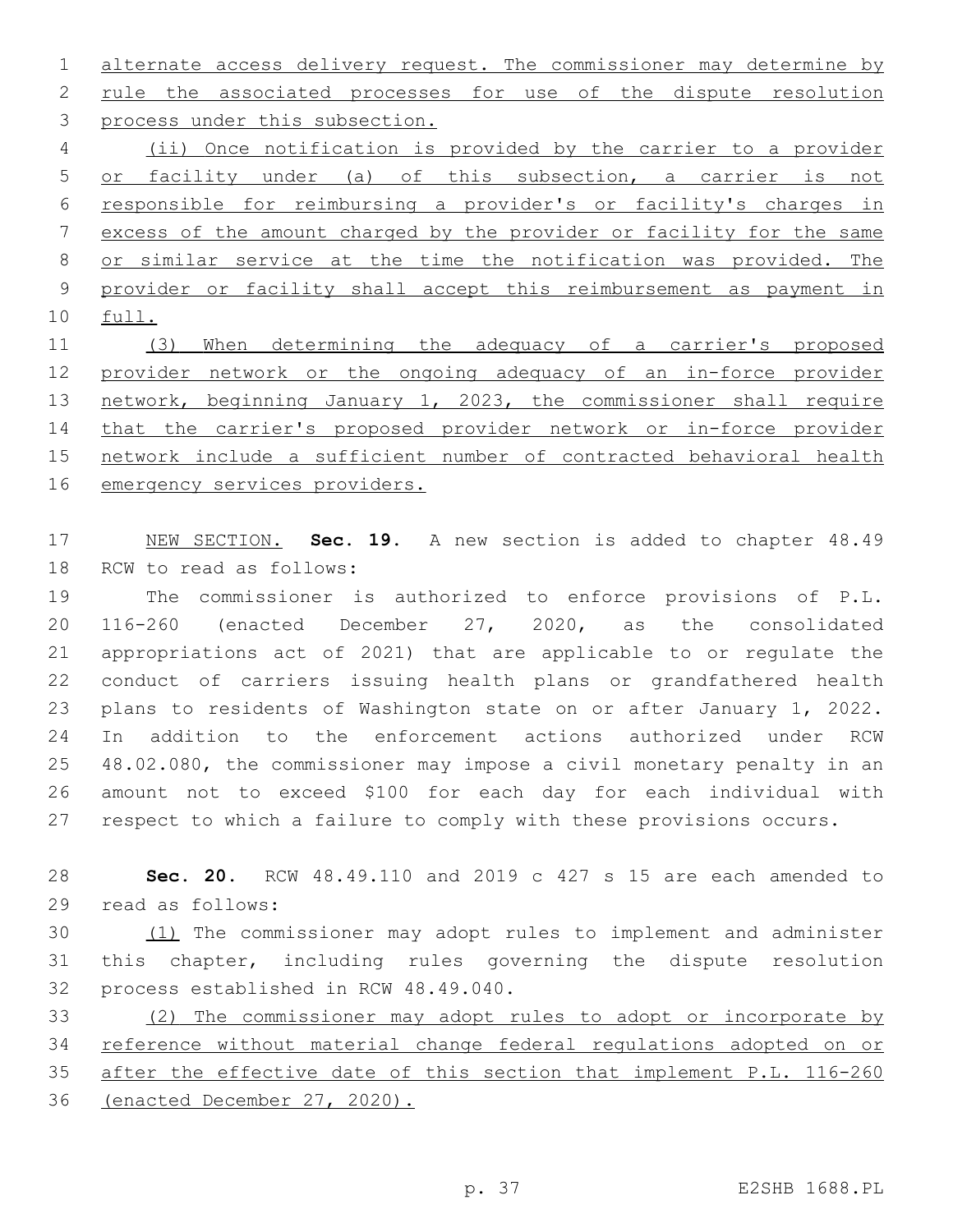1 alternate access delivery request. The commissioner may determine by 2 rule the associated processes for use of the dispute resolution 3 process under this subsection. (ii) Once notification is provided by the carrier to a provider

 or facility under (a) of this subsection, a carrier is not responsible for reimbursing a provider's or facility's charges in excess of the amount charged by the provider or facility for the same or similar service at the time the notification was provided. The provider or facility shall accept this reimbursement as payment in full.

 (3) When determining the adequacy of a carrier's proposed provider network or the ongoing adequacy of an in-force provider 13 network, beginning January 1, 2023, the commissioner shall require that the carrier's proposed provider network or in-force provider network include a sufficient number of contracted behavioral health emergency services providers.

 NEW SECTION. **Sec. 19.** A new section is added to chapter 48.49 18 RCW to read as follows:

 The commissioner is authorized to enforce provisions of P.L. 116-260 (enacted December 27, 2020, as the consolidated appropriations act of 2021) that are applicable to or regulate the conduct of carriers issuing health plans or grandfathered health plans to residents of Washington state on or after January 1, 2022. In addition to the enforcement actions authorized under RCW 48.02.080, the commissioner may impose a civil monetary penalty in an amount not to exceed \$100 for each day for each individual with respect to which a failure to comply with these provisions occurs.

 **Sec. 20.** RCW 48.49.110 and 2019 c 427 s 15 are each amended to 29 read as follows:

 (1) The commissioner may adopt rules to implement and administer this chapter, including rules governing the dispute resolution 32 process established in RCW 48.49.040.

 (2) The commissioner may adopt rules to adopt or incorporate by reference without material change federal regulations adopted on or after the effective date of this section that implement P.L. 116-260 (enacted December 27, 2020).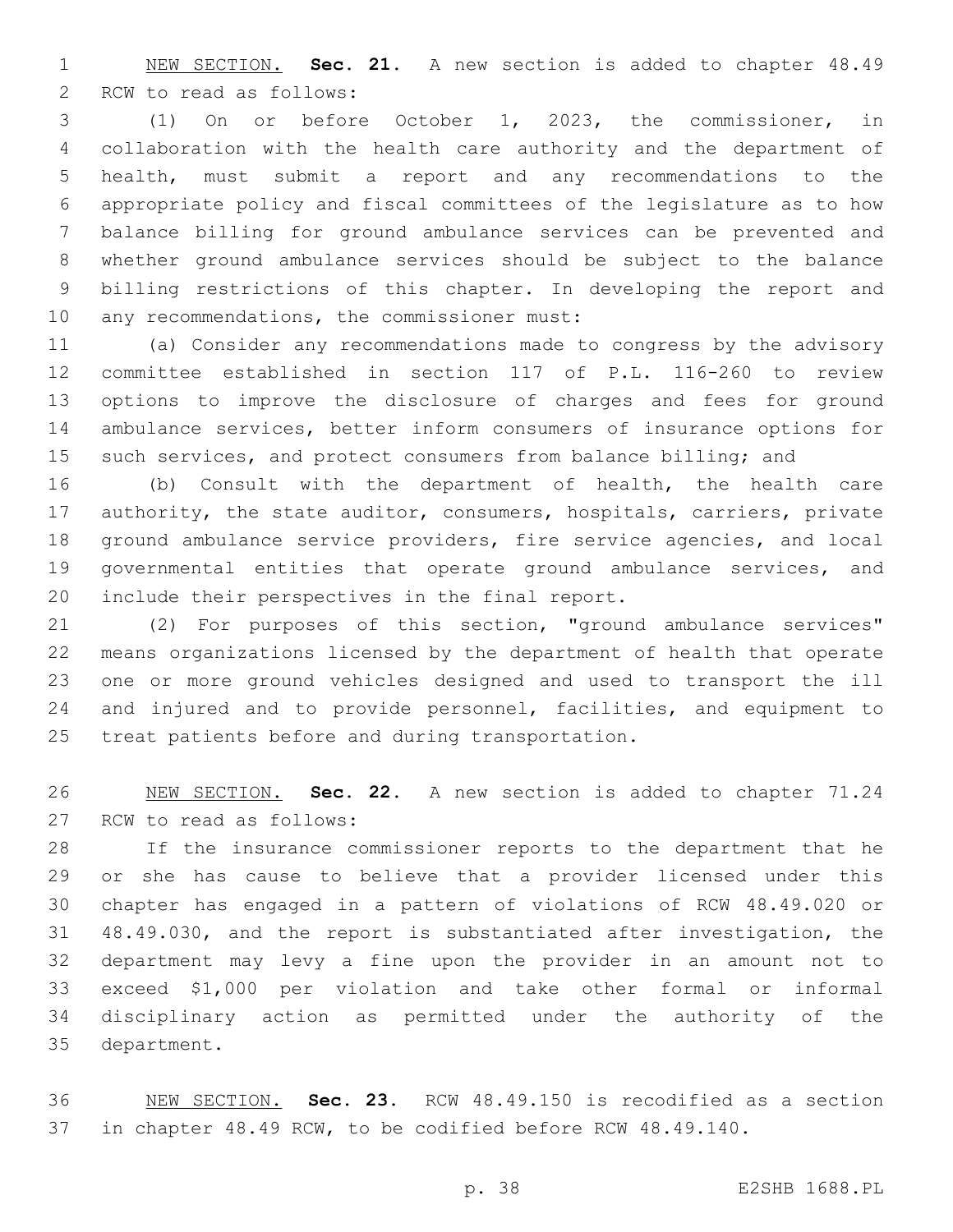NEW SECTION. **Sec. 21.** A new section is added to chapter 48.49 2 RCW to read as follows:

 (1) On or before October 1, 2023, the commissioner, in collaboration with the health care authority and the department of health, must submit a report and any recommendations to the appropriate policy and fiscal committees of the legislature as to how balance billing for ground ambulance services can be prevented and whether ground ambulance services should be subject to the balance billing restrictions of this chapter. In developing the report and 10 any recommendations, the commissioner must:

 (a) Consider any recommendations made to congress by the advisory committee established in section 117 of P.L. 116-260 to review options to improve the disclosure of charges and fees for ground ambulance services, better inform consumers of insurance options for 15 such services, and protect consumers from balance billing; and

 (b) Consult with the department of health, the health care 17 authority, the state auditor, consumers, hospitals, carriers, private ground ambulance service providers, fire service agencies, and local governmental entities that operate ground ambulance services, and 20 include their perspectives in the final report.

 (2) For purposes of this section, "ground ambulance services" means organizations licensed by the department of health that operate one or more ground vehicles designed and used to transport the ill and injured and to provide personnel, facilities, and equipment to 25 treat patients before and during transportation.

 NEW SECTION. **Sec. 22.** A new section is added to chapter 71.24 27 RCW to read as follows:

 If the insurance commissioner reports to the department that he or she has cause to believe that a provider licensed under this chapter has engaged in a pattern of violations of RCW 48.49.020 or 48.49.030, and the report is substantiated after investigation, the department may levy a fine upon the provider in an amount not to exceed \$1,000 per violation and take other formal or informal disciplinary action as permitted under the authority of the 35 department.

 NEW SECTION. **Sec. 23.** RCW 48.49.150 is recodified as a section in chapter 48.49 RCW, to be codified before RCW 48.49.140.